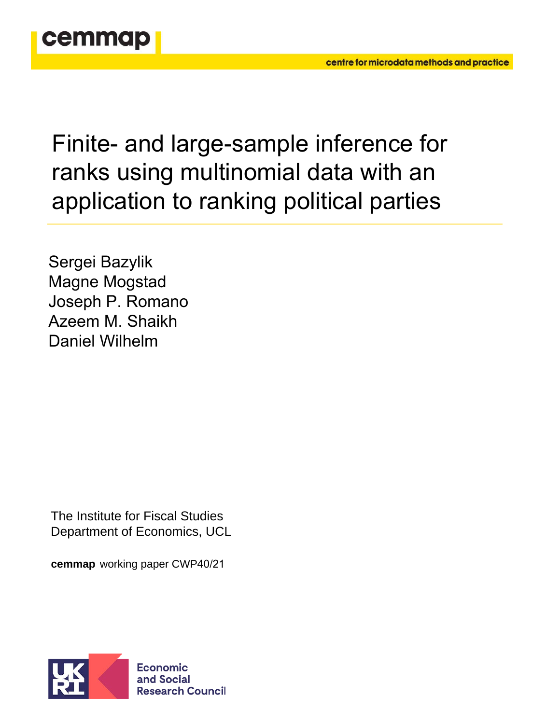

Finite- and large-sample inference for ranks using multinomial data with an application to ranking political parties

Sergei Bazylik Magne Mogstad Joseph P. Romano Azeem M. Shaikh Daniel Wilhelm

The Institute for Fiscal Studies Department of Economics, UCL

**cemmap** working paper CWP40/21

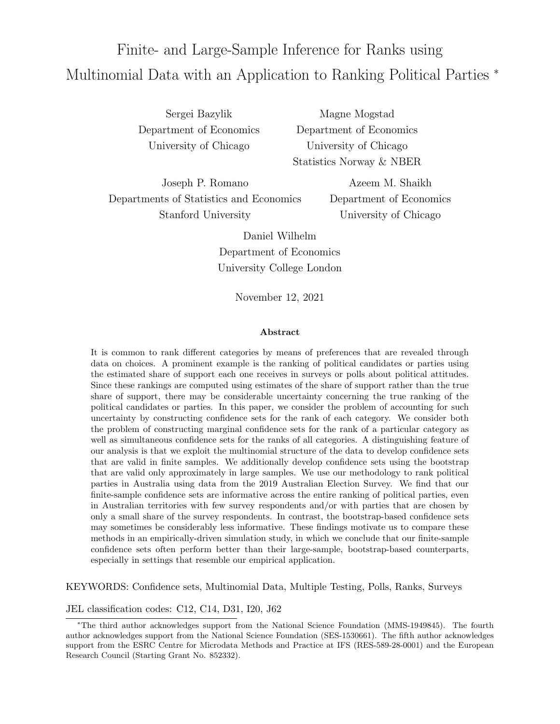# <span id="page-1-0"></span>Finite- and Large-Sample Inference for Ranks using Multinomial Data with an Application to Ranking Political Parties <sup>\*</sup>

Sergei Bazylik Department of Economics University of Chicago

Magne Mogstad Department of Economics University of Chicago Statistics Norway & NBER

Joseph P. Romano Departments of Statistics and Economics Stanford University

Azeem M. Shaikh Department of Economics University of Chicago

Daniel Wilhelm Department of Economics University College London

November 12, 2021

#### Abstract

It is common to rank different categories by means of preferences that are revealed through data on choices. A prominent example is the ranking of political candidates or parties using the estimated share of support each one receives in surveys or polls about political attitudes. Since these rankings are computed using estimates of the share of support rather than the true share of support, there may be considerable uncertainty concerning the true ranking of the political candidates or parties. In this paper, we consider the problem of accounting for such uncertainty by constructing confidence sets for the rank of each category. We consider both the problem of constructing marginal confidence sets for the rank of a particular category as well as simultaneous confidence sets for the ranks of all categories. A distinguishing feature of our analysis is that we exploit the multinomial structure of the data to develop confidence sets that are valid in finite samples. We additionally develop confidence sets using the bootstrap that are valid only approximately in large samples. We use our methodology to rank political parties in Australia using data from the 2019 Australian Election Survey. We find that our finite-sample confidence sets are informative across the entire ranking of political parties, even in Australian territories with few survey respondents and/or with parties that are chosen by only a small share of the survey respondents. In contrast, the bootstrap-based confidence sets may sometimes be considerably less informative. These findings motivate us to compare these methods in an empirically-driven simulation study, in which we conclude that our finite-sample confidence sets often perform better than their large-sample, bootstrap-based counterparts, especially in settings that resemble our empirical application.

KEYWORDS: Confidence sets, Multinomial Data, Multiple Testing, Polls, Ranks, Surveys

JEL classification codes: C12, C14, D31, I20, J62

<sup>∗</sup>The third author acknowledges support from the National Science Foundation (MMS-1949845). The fourth author acknowledges support from the National Science Foundation (SES-1530661). The fifth author acknowledges support from the ESRC Centre for Microdata Methods and Practice at IFS (RES-589-28-0001) and the European Research Council (Starting Grant No. 852332).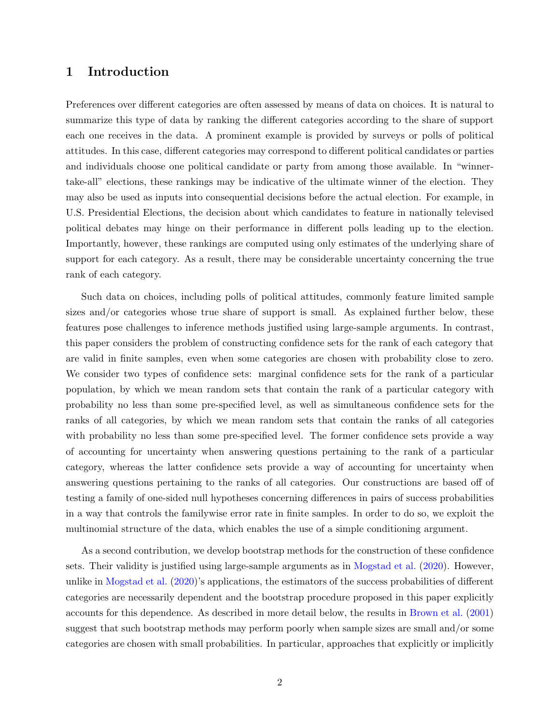## 1 Introduction

Preferences over different categories are often assessed by means of data on choices. It is natural to summarize this type of data by ranking the different categories according to the share of support each one receives in the data. A prominent example is provided by surveys or polls of political attitudes. In this case, different categories may correspond to different political candidates or parties and individuals choose one political candidate or party from among those available. In "winnertake-all" elections, these rankings may be indicative of the ultimate winner of the election. They may also be used as inputs into consequential decisions before the actual election. For example, in U.S. Presidential Elections, the decision about which candidates to feature in nationally televised political debates may hinge on their performance in different polls leading up to the election. Importantly, however, these rankings are computed using only estimates of the underlying share of support for each category. As a result, there may be considerable uncertainty concerning the true rank of each category.

Such data on choices, including polls of political attitudes, commonly feature limited sample sizes and/or categories whose true share of support is small. As explained further below, these features pose challenges to inference methods justified using large-sample arguments. In contrast, this paper considers the problem of constructing confidence sets for the rank of each category that are valid in finite samples, even when some categories are chosen with probability close to zero. We consider two types of confidence sets: marginal confidence sets for the rank of a particular population, by which we mean random sets that contain the rank of a particular category with probability no less than some pre-specified level, as well as simultaneous confidence sets for the ranks of all categories, by which we mean random sets that contain the ranks of all categories with probability no less than some pre-specified level. The former confidence sets provide a way of accounting for uncertainty when answering questions pertaining to the rank of a particular category, whereas the latter confidence sets provide a way of accounting for uncertainty when answering questions pertaining to the ranks of all categories. Our constructions are based off of testing a family of one-sided null hypotheses concerning differences in pairs of success probabilities in a way that controls the familywise error rate in finite samples. In order to do so, we exploit the multinomial structure of the data, which enables the use of a simple conditioning argument.

As a second contribution, we develop bootstrap methods for the construction of these confidence sets. Their validity is justified using large-sample arguments as in [Mogstad et al.](#page-42-0) [\(2020\)](#page-42-0). However, unlike in [Mogstad et al.](#page-42-0) [\(2020\)](#page-42-0)'s applications, the estimators of the success probabilities of different categories are necessarily dependent and the bootstrap procedure proposed in this paper explicitly accounts for this dependence. As described in more detail below, the results in [Brown et al.](#page-42-1) [\(2001\)](#page-42-1) suggest that such bootstrap methods may perform poorly when sample sizes are small and/or some categories are chosen with small probabilities. In particular, approaches that explicitly or implicitly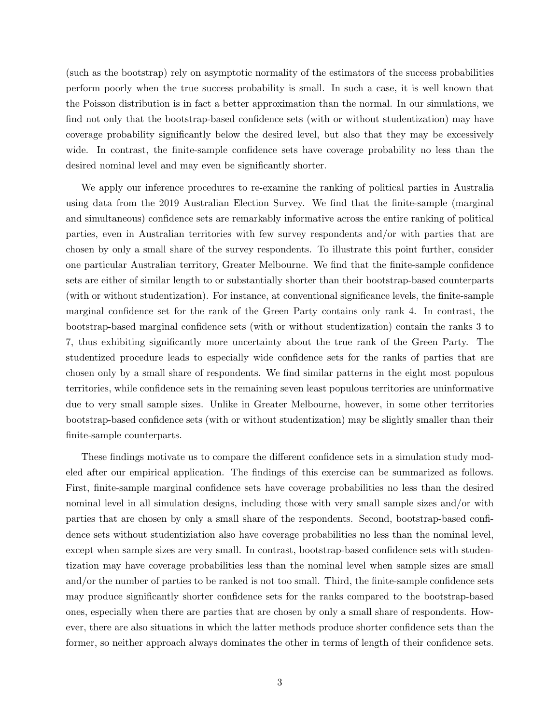(such as the bootstrap) rely on asymptotic normality of the estimators of the success probabilities perform poorly when the true success probability is small. In such a case, it is well known that the Poisson distribution is in fact a better approximation than the normal. In our simulations, we find not only that the bootstrap-based confidence sets (with or without studentization) may have coverage probability significantly below the desired level, but also that they may be excessively wide. In contrast, the finite-sample confidence sets have coverage probability no less than the desired nominal level and may even be significantly shorter.

We apply our inference procedures to re-examine the ranking of political parties in Australia using data from the 2019 Australian Election Survey. We find that the finite-sample (marginal and simultaneous) confidence sets are remarkably informative across the entire ranking of political parties, even in Australian territories with few survey respondents and/or with parties that are chosen by only a small share of the survey respondents. To illustrate this point further, consider one particular Australian territory, Greater Melbourne. We find that the finite-sample confidence sets are either of similar length to or substantially shorter than their bootstrap-based counterparts (with or without studentization). For instance, at conventional significance levels, the finite-sample marginal confidence set for the rank of the Green Party contains only rank 4. In contrast, the bootstrap-based marginal confidence sets (with or without studentization) contain the ranks 3 to 7, thus exhibiting significantly more uncertainty about the true rank of the Green Party. The studentized procedure leads to especially wide confidence sets for the ranks of parties that are chosen only by a small share of respondents. We find similar patterns in the eight most populous territories, while confidence sets in the remaining seven least populous territories are uninformative due to very small sample sizes. Unlike in Greater Melbourne, however, in some other territories bootstrap-based confidence sets (with or without studentization) may be slightly smaller than their finite-sample counterparts.

These findings motivate us to compare the different confidence sets in a simulation study modeled after our empirical application. The findings of this exercise can be summarized as follows. First, finite-sample marginal confidence sets have coverage probabilities no less than the desired nominal level in all simulation designs, including those with very small sample sizes and/or with parties that are chosen by only a small share of the respondents. Second, bootstrap-based confidence sets without studentiziation also have coverage probabilities no less than the nominal level, except when sample sizes are very small. In contrast, bootstrap-based confidence sets with studentization may have coverage probabilities less than the nominal level when sample sizes are small and/or the number of parties to be ranked is not too small. Third, the finite-sample confidence sets may produce significantly shorter confidence sets for the ranks compared to the bootstrap-based ones, especially when there are parties that are chosen by only a small share of respondents. However, there are also situations in which the latter methods produce shorter confidence sets than the former, so neither approach always dominates the other in terms of length of their confidence sets.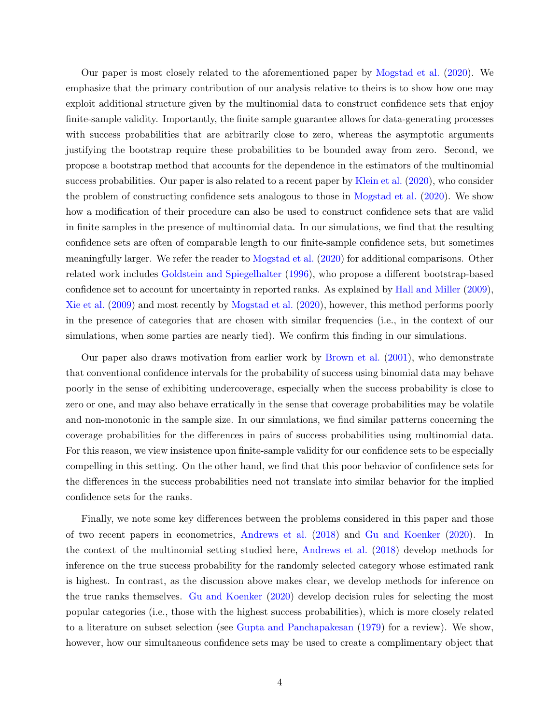Our paper is most closely related to the aforementioned paper by [Mogstad et al.](#page-42-0) [\(2020\)](#page-42-0). We emphasize that the primary contribution of our analysis relative to theirs is to show how one may exploit additional structure given by the multinomial data to construct confidence sets that enjoy finite-sample validity. Importantly, the finite sample guarantee allows for data-generating processes with success probabilities that are arbitrarily close to zero, whereas the asymptotic arguments justifying the bootstrap require these probabilities to be bounded away from zero. Second, we propose a bootstrap method that accounts for the dependence in the estimators of the multinomial success probabilities. Our paper is also related to a recent paper by [Klein et al.](#page-42-2) [\(2020\)](#page-42-2), who consider the problem of constructing confidence sets analogous to those in [Mogstad et al.](#page-42-0) [\(2020\)](#page-42-0). We show how a modification of their procedure can also be used to construct confidence sets that are valid in finite samples in the presence of multinomial data. In our simulations, we find that the resulting confidence sets are often of comparable length to our finite-sample confidence sets, but sometimes meaningfully larger. We refer the reader to [Mogstad et al.](#page-42-0) [\(2020\)](#page-42-0) for additional comparisons. Other related work includes [Goldstein and Spiegelhalter](#page-42-3) [\(1996\)](#page-42-3), who propose a different bootstrap-based confidence set to account for uncertainty in reported ranks. As explained by [Hall and Miller](#page-42-4) [\(2009\)](#page-42-4), [Xie et al.](#page-43-0) [\(2009\)](#page-43-0) and most recently by [Mogstad et al.](#page-42-0) [\(2020\)](#page-42-0), however, this method performs poorly in the presence of categories that are chosen with similar frequencies (i.e., in the context of our simulations, when some parties are nearly tied). We confirm this finding in our simulations.

Our paper also draws motivation from earlier work by [Brown et al.](#page-42-1) [\(2001\)](#page-42-1), who demonstrate that conventional confidence intervals for the probability of success using binomial data may behave poorly in the sense of exhibiting undercoverage, especially when the success probability is close to zero or one, and may also behave erratically in the sense that coverage probabilities may be volatile and non-monotonic in the sample size. In our simulations, we find similar patterns concerning the coverage probabilities for the differences in pairs of success probabilities using multinomial data. For this reason, we view insistence upon finite-sample validity for our confidence sets to be especially compelling in this setting. On the other hand, we find that this poor behavior of confidence sets for the differences in the success probabilities need not translate into similar behavior for the implied confidence sets for the ranks.

Finally, we note some key differences between the problems considered in this paper and those of two recent papers in econometrics, [Andrews et al.](#page-42-5) [\(2018\)](#page-42-5) and [Gu and Koenker](#page-42-6) [\(2020\)](#page-42-6). In the context of the multinomial setting studied here, [Andrews et al.](#page-42-5) [\(2018\)](#page-42-5) develop methods for inference on the true success probability for the randomly selected category whose estimated rank is highest. In contrast, as the discussion above makes clear, we develop methods for inference on the true ranks themselves. [Gu and Koenker](#page-42-6) [\(2020\)](#page-42-6) develop decision rules for selecting the most popular categories (i.e., those with the highest success probabilities), which is more closely related to a literature on subset selection (see [Gupta and Panchapakesan](#page-42-7) [\(1979\)](#page-42-7) for a review). We show, however, how our simultaneous confidence sets may be used to create a complimentary object that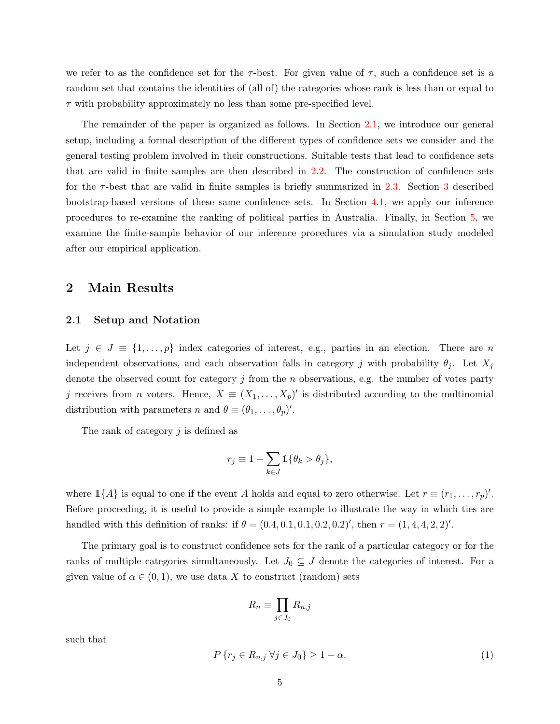we refer to as the confidence set for the  $\tau$ -best. For given value of  $\tau$ , such a confidence set is a random set that contains the identities of (all of) the categories whose rank is less than or equal to  $\tau$  with probability approximately no less than some pre-specified level.

The remainder of the paper is organized as follows. In Section [2.1,](#page-5-0) we introduce our general setup, including a formal description of the different types of confidence sets we consider and the general testing problem involved in their constructions. Suitable tests that lead to confidence sets that are valid in finite samples are then described in [2.2.](#page-8-0) The construction of confidence sets for the  $\tau$ -best that are valid in finite samples is briefly summarized in [2.3.](#page-10-0) Section [3](#page-11-0) described bootstrap-based versions of these same confidence sets. In Section [4.1,](#page-16-0) we apply our inference procedures to re-examine the ranking of political parties in Australia. Finally, in Section [5,](#page-21-0) we examine the finite-sample behavior of our inference procedures via a simulation study modeled after our empirical application.

### <span id="page-5-2"></span>2 Main Results

#### <span id="page-5-0"></span>2.1 Setup and Notation

Let  $j \in J \equiv \{1, \ldots, p\}$  index categories of interest, e.g., parties in an election. There are n independent observations, and each observation falls in category j with probability  $\theta_j$ . Let  $X_j$ denote the observed count for category  $j$  from the  $n$  observations, e.g. the number of votes party j receives from *n* voters. Hence,  $X \equiv (X_1, \ldots, X_p)'$  is distributed according to the multinomial distribution with parameters n and  $\theta \equiv (\theta_1, \ldots, \theta_p)'$ .

The rank of category  $j$  is defined as

$$
r_j \equiv 1 + \sum_{k \in J} \mathbb{1} \{ \theta_k > \theta_j \},\,
$$

where  $1\{A\}$  is equal to one if the event A holds and equal to zero otherwise. Let  $r \equiv (r_1, \ldots, r_p)'$ . Before proceeding, it is useful to provide a simple example to illustrate the way in which ties are handled with this definition of ranks: if  $\theta = (0.4, 0.1, 0.1, 0.2, 0.2)'$ , then  $r = (1, 4, 4, 2, 2)'$ .

The primary goal is to construct confidence sets for the rank of a particular category or for the ranks of multiple categories simultaneously. Let  $J_0 \subseteq J$  denote the categories of interest. For a given value of  $\alpha \in (0,1)$ , we use data X to construct (random) sets

$$
R_n \equiv \prod_{j \in J_0} R_{n,j}
$$

such that

<span id="page-5-1"></span>
$$
P\{r_j \in R_{n,j} \,\forall j \in J_0\} \ge 1 - \alpha. \tag{1}
$$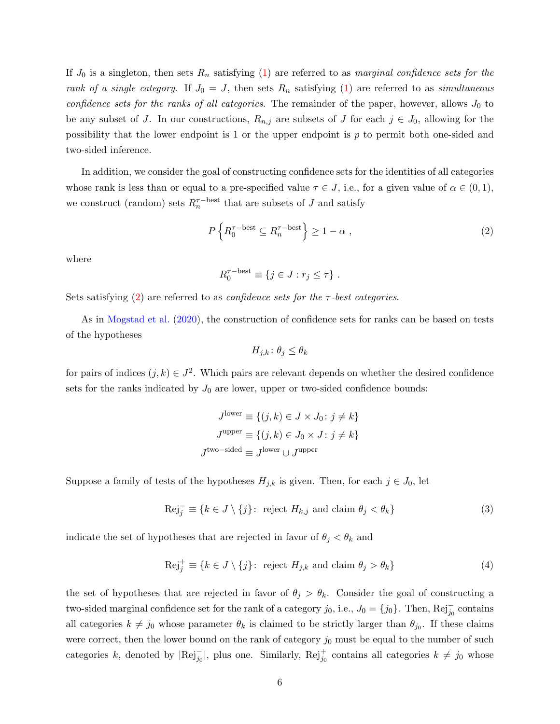If  $J_0$  is a singleton, then sets  $R_n$  satisfying [\(1\)](#page-5-1) are referred to as marginal confidence sets for the rank of a single category. If  $J_0 = J$ , then sets  $R_n$  satisfying [\(1\)](#page-5-1) are referred to as simultaneous confidence sets for the ranks of all categories. The remainder of the paper, however, allows  $J_0$  to be any subset of J. In our constructions,  $R_{n,j}$  are subsets of J for each  $j \in J_0$ , allowing for the possibility that the lower endpoint is 1 or the upper endpoint is p to permit both one-sided and two-sided inference.

In addition, we consider the goal of constructing confidence sets for the identities of all categories whose rank is less than or equal to a pre-specified value  $\tau \in J$ , i.e., for a given value of  $\alpha \in (0,1)$ , we construct (random) sets  $R_n^{\tau-\text{best}}$  that are subsets of J and satisfy

<span id="page-6-0"></span>
$$
P\left\{R_0^{\tau-\text{best}} \subseteq R_n^{\tau-\text{best}}\right\} \ge 1 - \alpha ,\tag{2}
$$

where

$$
R_0^{\tau-\text{best}} \equiv \{j \in J : r_j \leq \tau\} .
$$

Sets satisfying [\(2\)](#page-6-0) are referred to as *confidence sets for the*  $\tau$ *-best categories*.

As in [Mogstad et al.](#page-42-0) [\(2020\)](#page-42-0), the construction of confidence sets for ranks can be based on tests of the hypotheses

$$
H_{j,k} \colon \theta_j \le \theta_k
$$

for pairs of indices  $(j, k) \in J^2$ . Which pairs are relevant depends on whether the desired confidence sets for the ranks indicated by  $J_0$  are lower, upper or two-sided confidence bounds:

$$
J^{\text{lower}} \equiv \{ (j, k) \in J \times J_0 : j \neq k \}
$$

$$
J^{\text{upper}} \equiv \{ (j, k) \in J_0 \times J : j \neq k \}
$$

$$
J^{\text{two-sided}} \equiv J^{\text{lower}} \cup J^{\text{upper}}
$$

Suppose a family of tests of the hypotheses  $H_{j,k}$  is given. Then, for each  $j \in J_0$ , let

<span id="page-6-1"></span>
$$
\text{Rej}_{j}^{-} \equiv \{ k \in J \setminus \{ j \}: \text{ reject } H_{k,j} \text{ and claim } \theta_{j} < \theta_{k} \}
$$
\n
$$
\tag{3}
$$

indicate the set of hypotheses that are rejected in favor of  $\theta_j < \theta_k$  and

<span id="page-6-2"></span>
$$
\text{Rej}_{j}^{+} \equiv \{ k \in J \setminus \{ j \}: \text{ reject } H_{j,k} \text{ and claim } \theta_{j} > \theta_{k} \}
$$
(4)

the set of hypotheses that are rejected in favor of  $\theta_j > \theta_k$ . Consider the goal of constructing a two-sided marginal confidence set for the rank of a category  $j_0$ , i.e.,  $J_0 = \{j_0\}$ . Then,  $\text{Rej}_{j_0}^-$  contains all categories  $k \neq j_0$  whose parameter  $\theta_k$  is claimed to be strictly larger than  $\theta_{j_0}$ . If these claims were correct, then the lower bound on the rank of category  $j_0$  must be equal to the number of such categories k, denoted by  $\text{[Rej}_{j_0}^-|$ , plus one. Similarly,  $\text{Rej}_{j_0}^+$  contains all categories  $k \neq j_0$  whose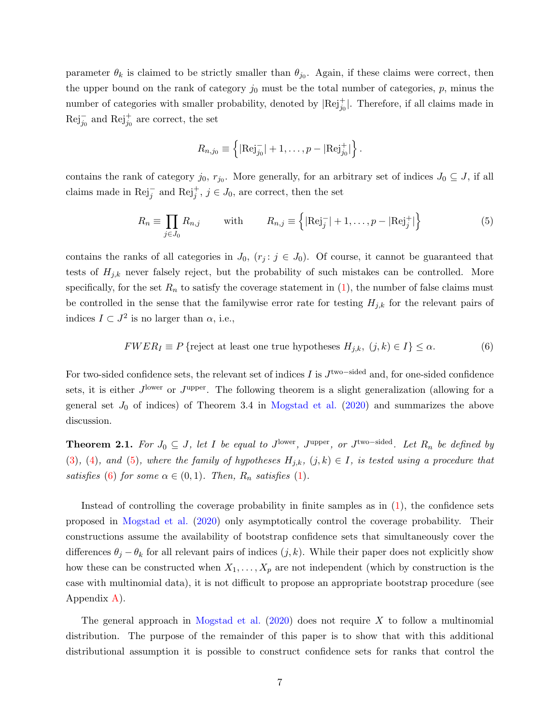parameter  $\theta_k$  is claimed to be strictly smaller than  $\theta_{j_0}$ . Again, if these claims were correct, then the upper bound on the rank of category  $j_0$  must be the total number of categories, p, minus the number of categories with smaller probability, denoted by  $|Rej_{j0}^+|$ . Therefore, if all claims made in  $\text{Rej}_{j_0}^-$  and  $\text{Rej}_{j_0}^+$  are correct, the set

$$
R_{n,j_0} \equiv \left\{ |\text{Rej}_{j_0}^-| + 1, \ldots, p - |\text{Rej}_{j_0}^+| \right\}.
$$

contains the rank of category  $j_0, r_{j_0}$ . More generally, for an arbitrary set of indices  $J_0 \subseteq J$ , if all claims made in  $\text{Rej}_{j}^{-}$  and  $\text{Rej}_{j}^{+}$ ,  $j \in J_0$ , are correct, then the set

<span id="page-7-0"></span>
$$
R_n \equiv \prod_{j \in J_0} R_{n,j} \qquad \text{with} \qquad R_{n,j} \equiv \left\{ |\text{Rej}_j^-| + 1, \dots, p - |\text{Rej}_j^+| \right\} \tag{5}
$$

contains the ranks of all categories in  $J_0$ ,  $(r_j : j \in J_0)$ . Of course, it cannot be guaranteed that tests of  $H_{j,k}$  never falsely reject, but the probability of such mistakes can be controlled. More specifically, for the set  $R_n$  to satisfy the coverage statement in  $(1)$ , the number of false claims must be controlled in the sense that the familywise error rate for testing  $H_{j,k}$  for the relevant pairs of indices  $I \subset J^2$  is no larger than  $\alpha$ , i.e.,

<span id="page-7-1"></span>
$$
FWER_I \equiv P \{ \text{reject at least one true hypotheses } H_{j,k}, \ (j,k) \in I \} \le \alpha. \tag{6}
$$

For two-sided confidence sets, the relevant set of indices I is  $J^{\text{two-sided}}$  and, for one-sided confidence sets, it is either  $J^{\text{lower}}$  or  $J^{\text{upper}}$ . The following theorem is a slight generalization (allowing for a general set  $J_0$  of indices) of Theorem 3.4 in [Mogstad et al.](#page-42-0) [\(2020\)](#page-42-0) and summarizes the above discussion.

<span id="page-7-2"></span>**Theorem 2.1.** For  $J_0 \subseteq J$ , let I be equal to J<sup>lower</sup>, J<sup>upper</sup>, or J<sup>two–sided</sup>. Let  $R_n$  be defined by [\(3\)](#page-6-1), [\(4\)](#page-6-2), and [\(5\)](#page-7-0), where the family of hypotheses  $H_{j,k}$ ,  $(j,k) \in I$ , is tested using a procedure that satisfies [\(6\)](#page-7-1) for some  $\alpha \in (0,1)$ . Then,  $R_n$  satisfies [\(1\)](#page-5-1).

Instead of controlling the coverage probability in finite samples as in  $(1)$ , the confidence sets proposed in [Mogstad et al.](#page-42-0) [\(2020\)](#page-42-0) only asymptotically control the coverage probability. Their constructions assume the availability of bootstrap confidence sets that simultaneously cover the differences  $\theta_j - \theta_k$  for all relevant pairs of indices  $(j, k)$ . While their paper does not explicitly show how these can be constructed when  $X_1, \ldots, X_p$  are not independent (which by construction is the case with multinomial data), it is not difficult to propose an appropriate bootstrap procedure (see Appendix [A\)](#page-30-0).

The general approach in [Mogstad et al.](#page-42-0)  $(2020)$  does not require X to follow a multinomial distribution. The purpose of the remainder of this paper is to show that with this additional distributional assumption it is possible to construct confidence sets for ranks that control the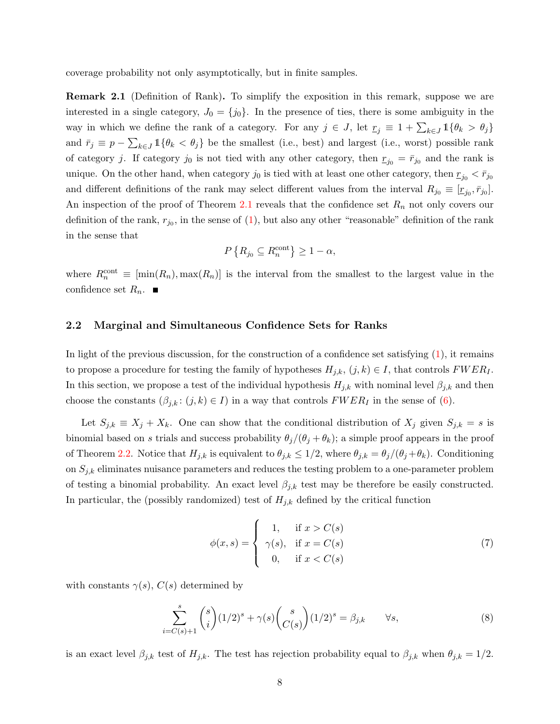<span id="page-8-3"></span>coverage probability not only asymptotically, but in finite samples.

Remark 2.1 (Definition of Rank). To simplify the exposition in this remark, suppose we are interested in a single category,  $J_0 = \{j_0\}$ . In the presence of ties, there is some ambiguity in the way in which we define the rank of a category. For any  $j \in J$ , let  $r_j \equiv 1 + \sum_{k \in J} \mathbb{1}\{\theta_k > \theta_j\}$ and  $\bar{r}_j \equiv p - \sum_{k \in J} \mathbb{1}\{\theta_k < \theta_j\}$  be the smallest (i.e., best) and largest (i.e., worst) possible rank of category j. If category j<sub>0</sub> is not tied with any other category, then  $r_{j_0} = \bar{r}_{j_0}$  and the rank is unique. On the other hand, when category  $j_0$  is tied with at least one other category, then  $r_{j_0} < r_{j_0}$ and different definitions of the rank may select different values from the interval  $R_{j_0} \equiv [r_{j_0}, \bar{r}_{j_0}]$ . An inspection of the proof of Theorem [2.1](#page-7-2) reveals that the confidence set  $R_n$  not only covers our definition of the rank,  $r_{j_0}$ , in the sense of [\(1\)](#page-5-1), but also any other "reasonable" definition of the rank in the sense that

$$
P\left\{R_{j_0} \subseteq R_n^{\text{cont}}\right\} \ge 1 - \alpha,
$$

where  $R_n^{\text{cont}} \equiv \left[ \min(R_n), \max(R_n) \right]$  is the interval from the smallest to the largest value in the confidence set  $R_n$ .

#### <span id="page-8-0"></span>2.2 Marginal and Simultaneous Confidence Sets for Ranks

In light of the previous discussion, for the construction of a confidence set satisfying  $(1)$ , it remains to propose a procedure for testing the family of hypotheses  $H_{j,k}$ ,  $(j,k) \in I$ , that controls  $FWER_I$ . In this section, we propose a test of the individual hypothesis  $H_{j,k}$  with nominal level  $\beta_{j,k}$  and then choose the constants  $(\beta_{j,k}: (j,k) \in I)$  in a way that controls  $FWER_I$  in the sense of [\(6\)](#page-7-1).

Let  $S_{j,k} \equiv X_j + X_k$ . One can show that the conditional distribution of  $X_j$  given  $S_{j,k} = s$  is binomial based on s trials and success probability  $\theta_j/(\theta_j + \theta_k)$ ; a simple proof appears in the proof of Theorem [2.2.](#page-9-0) Notice that  $H_{j,k}$  is equivalent to  $\theta_{j,k} \leq 1/2$ , where  $\theta_{j,k} = \theta_j/(\theta_j + \theta_k)$ . Conditioning on  $S_{j,k}$  eliminates nuisance parameters and reduces the testing problem to a one-parameter problem of testing a binomial probability. An exact level  $\beta_{j,k}$  test may be therefore be easily constructed. In particular, the (possibly randomized) test of  $H_{j,k}$  defined by the critical function

<span id="page-8-1"></span>
$$
\phi(x,s) = \begin{cases}\n1, & \text{if } x > C(s) \\
\gamma(s), & \text{if } x = C(s) \\
0, & \text{if } x < C(s)\n\end{cases}
$$
\n(7)

with constants  $\gamma(s)$ ,  $C(s)$  determined by

<span id="page-8-2"></span>
$$
\sum_{i=C(s)+1}^{s} {s \choose i} (1/2)^s + \gamma(s) {s \choose C(s)} (1/2)^s = \beta_{j,k} \qquad \forall s,
$$
\n(8)

is an exact level  $\beta_{j,k}$  test of  $H_{j,k}$ . The test has rejection probability equal to  $\beta_{j,k}$  when  $\theta_{j,k} = 1/2$ .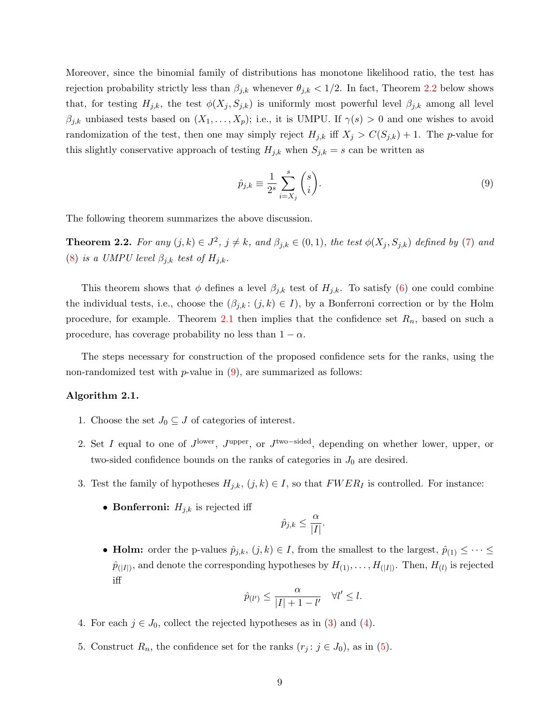Moreover, since the binomial family of distributions has monotone likelihood ratio, the test has rejection probability strictly less than  $\beta_{j,k}$  whenever  $\theta_{j,k} < 1/2$ . In fact, Theorem [2.2](#page-9-0) below shows that, for testing  $H_{j,k}$ , the test  $\phi(X_j, S_{j,k})$  is uniformly most powerful level  $\beta_{j,k}$  among all level  $\beta_{j,k}$  unbiased tests based on  $(X_1, \ldots, X_p)$ ; i.e., it is UMPU. If  $\gamma(s) > 0$  and one wishes to avoid randomization of the test, then one may simply reject  $H_{j,k}$  iff  $X_j > C(S_{j,k}) + 1$ . The p-value for this slightly conservative approach of testing  $H_{j,k}$  when  $S_{j,k} = s$  can be written as

<span id="page-9-1"></span>
$$
\hat{p}_{j,k} \equiv \frac{1}{2^s} \sum_{i=X_j}^s {s \choose i}.
$$
\n(9)

<span id="page-9-0"></span>The following theorem summarizes the above discussion.

**Theorem 2.2.** For any  $(j,k) \in J^2$ ,  $j \neq k$ , and  $\beta_{j,k} \in (0,1)$ , the test  $\phi(X_j, S_{j,k})$  defined by [\(7\)](#page-8-1) and [\(8\)](#page-8-2) is a UMPU level  $\beta_{j,k}$  test of  $H_{j,k}$ .

This theorem shows that  $\phi$  defines a level  $\beta_{j,k}$  test of  $H_{j,k}$ . To satisfy [\(6\)](#page-7-1) one could combine the individual tests, i.e., choose the  $(\beta_{j,k}: (j,k) \in I)$ , by a Bonferroni correction or by the Holm procedure, for example. Theorem [2.1](#page-7-2) then implies that the confidence set  $R_n$ , based on such a procedure, has coverage probability no less than  $1 - \alpha$ .

The steps necessary for construction of the proposed confidence sets for the ranks, using the non-randomized test with  $p$ -value in  $(9)$ , are summarized as follows:

#### <span id="page-9-2"></span>Algorithm 2.1.

- 1. Choose the set  $J_0 \subseteq J$  of categories of interest.
- 2. Set I equal to one of  $J^{\text{lower}}$ ,  $J^{\text{upper}}$ , or  $J^{\text{two-sided}}$ , depending on whether lower, upper, or two-sided confidence bounds on the ranks of categories in  $J_0$  are desired.
- 3. Test the family of hypotheses  $H_{j,k}$ ,  $(j,k) \in I$ , so that  $FWER_I$  is controlled. For instance:
	- Bonferroni:  $H_{j,k}$  is rejected iff

$$
\hat{p}_{j,k} \le \frac{\alpha}{|I|}.
$$

• **Holm:** order the p-values  $\hat{p}_{j,k}$ ,  $(j,k) \in I$ , from the smallest to the largest,  $\hat{p}_{(1)} \leq \cdots \leq$  $\hat{p}_{(|I|)}$ , and denote the corresponding hypotheses by  $H_{(1)}, \ldots, H_{(|I|)}$ . Then,  $H_{(l)}$  is rejected iff

$$
\hat{p}_{(l')} \le \frac{\alpha}{|I| + 1 - l'} \quad \forall l' \le l.
$$

- 4. For each  $j \in J_0$ , collect the rejected hypotheses as in [\(3\)](#page-6-1) and [\(4\)](#page-6-2).
- 5. Construct  $R_n$ , the confidence set for the ranks  $(r_j : j \in J_0)$ , as in [\(5\)](#page-7-0).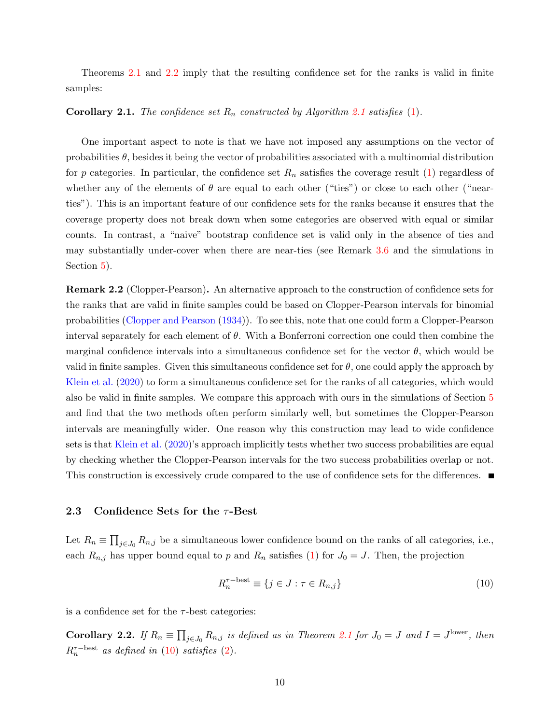Theorems [2.1](#page-7-2) and [2.2](#page-9-0) imply that the resulting confidence set for the ranks is valid in finite samples:

#### **Corollary [2.1](#page-9-2).** The confidence set  $R_n$  constructed by Algorithm 2.1 satisfies [\(1\)](#page-5-1).

One important aspect to note is that we have not imposed any assumptions on the vector of probabilities  $\theta$ , besides it being the vector of probabilities associated with a multinomial distribution for p categories. In particular, the confidence set  $R_n$  satisfies the coverage result [\(1\)](#page-5-1) regardless of whether any of the elements of  $\theta$  are equal to each other ("ties") or close to each other ("nearties"). This is an important feature of our confidence sets for the ranks because it ensures that the coverage property does not break down when some categories are observed with equal or similar counts. In contrast, a "naive" bootstrap confidence set is valid only in the absence of ties and may substantially under-cover when there are near-ties (see Remark [3.6](#page-13-0) and the simulations in Section [5\)](#page-21-0).

<span id="page-10-2"></span>Remark 2.2 (Clopper-Pearson). An alternative approach to the construction of confidence sets for the ranks that are valid in finite samples could be based on Clopper-Pearson intervals for binomial probabilities [\(Clopper and Pearson](#page-42-8) [\(1934\)](#page-42-8)). To see this, note that one could form a Clopper-Pearson interval separately for each element of  $\theta$ . With a Bonferroni correction one could then combine the marginal confidence intervals into a simultaneous confidence set for the vector  $\theta$ , which would be valid in finite samples. Given this simultaneous confidence set for  $\theta$ , one could apply the approach by [Klein et al.](#page-42-2) [\(2020\)](#page-42-2) to form a simultaneous confidence set for the ranks of all categories, which would also be valid in finite samples. We compare this approach with ours in the simulations of Section [5](#page-21-0) and find that the two methods often perform similarly well, but sometimes the Clopper-Pearson intervals are meaningfully wider. One reason why this construction may lead to wide confidence sets is that [Klein et al.](#page-42-2) [\(2020\)](#page-42-2)'s approach implicitly tests whether two success probabilities are equal by checking whether the Clopper-Pearson intervals for the two success probabilities overlap or not. This construction is excessively crude compared to the use of confidence sets for the differences.

#### <span id="page-10-0"></span>2.3 Confidence Sets for the  $\tau$ -Best

Let  $R_n \equiv \prod_{j \in J_0} R_{n,j}$  be a simultaneous lower confidence bound on the ranks of all categories, i.e., each  $R_{n,j}$  has upper bound equal to p and  $R_n$  satisfies [\(1\)](#page-5-1) for  $J_0 = J$ . Then, the projection

<span id="page-10-1"></span>
$$
R_n^{\tau-\text{best}} \equiv \{ j \in J : \tau \in R_{n,j} \} \tag{10}
$$

is a confidence set for the  $\tau$ -best categories:

**Corollary 2.2.** If  $R_n \equiv \prod_{j \in J_0} R_{n,j}$  is defined as in Theorem [2.1](#page-7-2) for  $J_0 = J$  and  $I = J^{\text{lower}}$ , then  $R_n^{\tau-\text{best}}$  as defined in [\(10\)](#page-10-1) satisfies [\(2\)](#page-6-0).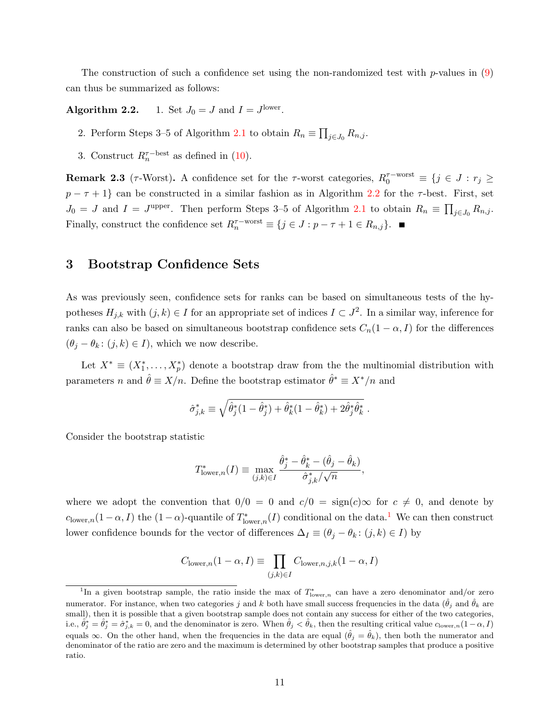The construction of such a confidence set using the non-randomized test with  $p$ -values in  $(9)$ can thus be summarized as follows:

<span id="page-11-1"></span>Algorithm 2.2. 1. Set  $J_0 = J$  and  $I = J^{\text{lower}}$ .

- 2. Perform Steps 3–5 of Algorithm [2.1](#page-9-2) to obtain  $R_n \equiv \prod_{j \in J_0} R_{n,j}$ .
- 3. Construct  $R_n^{\tau-\text{best}}$  as defined in [\(10\)](#page-10-1).

**Remark 2.3** ( $\tau$ -Worst). A confidence set for the  $\tau$ -worst categories,  $R_0^{\tau-\text{worst}} \equiv \{j \in J : r_j \geq 1\}$  $p - \tau + 1$  can be constructed in a similar fashion as in Algorithm [2.2](#page-11-1) for the  $\tau$ -best. First, set  $J_0 = J$  and  $I = J^{\text{upper}}$ . Then perform Steps 3–5 of Algorithm [2.1](#page-9-2) to obtain  $R_n \equiv \prod_{j \in J_0} R_{n,j}$ . Finally, construct the confidence set  $R_n^{\tau-\text{worst}} \equiv \{j \in J : p - \tau + 1 \in R_{n,j}\}.$ 

### <span id="page-11-0"></span>3 Bootstrap Confidence Sets

As was previously seen, confidence sets for ranks can be based on simultaneous tests of the hypotheses  $H_{j,k}$  with  $(j,k) \in I$  for an appropriate set of indices  $I \subset J^2$ . In a similar way, inference for ranks can also be based on simultaneous bootstrap confidence sets  $C_n(1-\alpha, I)$  for the differences  $(\theta_j - \theta_k : (j, k) \in I)$ , which we now describe.

Let  $X^* \equiv (X_1^*, \ldots, X_p^*)$  denote a bootstrap draw from the the multinomial distribution with parameters n and  $\hat{\theta} \equiv X/n$ . Define the bootstrap estimator  $\hat{\theta}^* \equiv X^*/n$  and

$$
\hat{\sigma}_{j,k}^* \equiv \sqrt{\hat{\theta}_j^*(1-\hat{\theta}_j^*) + \hat{\theta}_k^*(1-\hat{\theta}_k^*) + 2\hat{\theta}_j^*\hat{\theta}_k^*}.
$$

Consider the bootstrap statistic

$$
T_{\text{lower},n}^*(I) \equiv \max_{(j,k)\in I} \frac{\hat{\theta}_j^* - \hat{\theta}_k^* - (\hat{\theta}_j - \hat{\theta}_k)}{\hat{\sigma}_{j,k}^* / \sqrt{n}},
$$

where we adopt the convention that  $0/0 = 0$  and  $c/0 = \text{sign}(c) \infty$  for  $c \neq 0$ , and denote by  $c_{\text{lower},n}(1-\alpha,I)$  $c_{\text{lower},n}(1-\alpha,I)$  $c_{\text{lower},n}(1-\alpha,I)$  the  $(1-\alpha)$ -quantile of  $T^*_{\text{lower},n}(I)$  conditional on the data.<sup>1</sup> We can then construct lower confidence bounds for the vector of differences  $\Delta_I \equiv (\theta_j - \theta_k : (j, k) \in I)$  by

$$
C_{\text{lower},n}(1-\alpha,I) \equiv \prod_{(j,k)\in I} C_{\text{lower},n,j,k}(1-\alpha,I)
$$

<sup>&</sup>lt;sup>1</sup>In a given bootstrap sample, the ratio inside the max of  $T^*_{\text{lower},n}$  can have a zero denominator and/or zero numerator. For instance, when two categories j and k both have small success frequencies in the data  $(\hat{\theta}_j$  and  $\hat{\theta}_k$  are small), then it is possible that a given bootstrap sample does not contain any success for either of the two categories, i.e.,  $\hat{\theta}_{j}^{*} = \hat{\theta}_{j}^{*} = \hat{\sigma}_{j,k}^{*} = 0$ , and the denominator is zero. When  $\hat{\theta}_{j} < \hat{\theta}_{k}$ , then the resulting critical value  $c_{\text{lower},n}(1-\alpha, I)$ equals  $\infty$ . On the other hand, when the frequencies in the data are equal  $(\hat{\theta}_j = \hat{\theta}_k)$ , then both the numerator and denominator of the ratio are zero and the maximum is determined by other bootstrap samples that produce a positive ratio.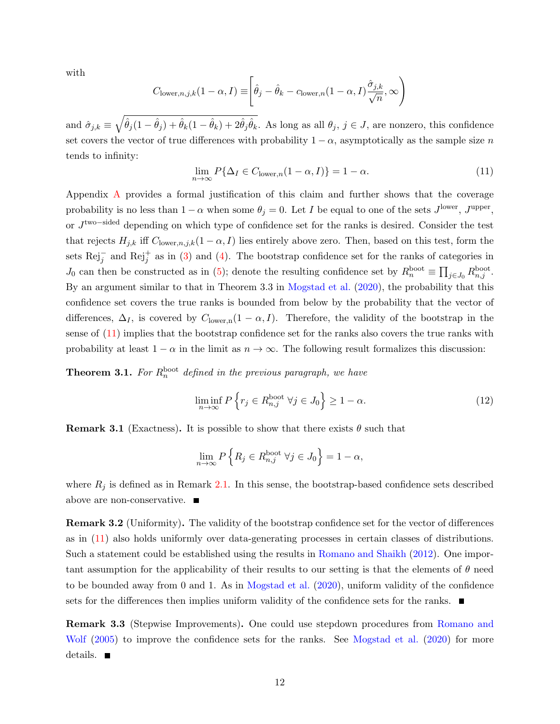with

$$
C_{\text{lower},n,j,k}(1-\alpha,I) \equiv \left[\hat{\theta}_j - \hat{\theta}_k - c_{\text{lower},n}(1-\alpha,I)\frac{\hat{\sigma}_{j,k}}{\sqrt{n}},\infty\right)
$$

and  $\hat{\sigma}_{j,k} \equiv \sqrt{\hat{\theta}_j(1-\hat{\theta}_j) + \hat{\theta}_k(1-\hat{\theta}_k) + 2\hat{\theta}_j\hat{\theta}_k}$ . As long as all  $\theta_j, j \in J$ , are nonzero, this confidence set covers the vector of true differences with probability  $1 - \alpha$ , asymptotically as the sample size n tends to infinity:

<span id="page-12-0"></span>
$$
\lim_{n \to \infty} P\{\Delta_I \in C_{\text{lower},n}(1-\alpha,I)\} = 1 - \alpha. \tag{11}
$$

Appendix [A](#page-30-0) provides a formal justification of this claim and further shows that the coverage probability is no less than  $1 - \alpha$  when some  $\theta_j = 0$ . Let I be equal to one of the sets  $J^{\text{lower}}$ ,  $J^{\text{upper}}$ , or J<sup>two–sided</sup> depending on which type of confidence set for the ranks is desired. Consider the test that rejects  $H_{j,k}$  iff  $C_{\text{lower},n,j,k}(1-\alpha,I)$  lies entirely above zero. Then, based on this test, form the sets  $\text{Rej}_j^-$  and  $\text{Rej}_j^+$  as in [\(3\)](#page-6-1) and [\(4\)](#page-6-2). The bootstrap confidence set for the ranks of categories in  $J_0$  can then be constructed as in [\(5\)](#page-7-0); denote the resulting confidence set by  $R_n^{\text{boot}} \equiv \prod_{j \in J_0} R_{n,j}^{\text{boot}}$ . By an argument similar to that in Theorem 3.3 in [Mogstad et al.](#page-42-0) [\(2020\)](#page-42-0), the probability that this confidence set covers the true ranks is bounded from below by the probability that the vector of differences,  $\Delta_I$ , is covered by  $C_{\text{lower,n}}(1-\alpha,I)$ . Therefore, the validity of the bootstrap in the sense of [\(11\)](#page-12-0) implies that the bootstrap confidence set for the ranks also covers the true ranks with probability at least  $1 - \alpha$  in the limit as  $n \to \infty$ . The following result formalizes this discussion:

<span id="page-12-2"></span>**Theorem 3.1.** For  $R_n^{\text{boot}}$  defined in the previous paragraph, we have

$$
\liminf_{n \to \infty} P\left\{r_j \in R_{n,j}^{\text{boot}} \,\,\forall j \in J_0\right\} \ge 1 - \alpha. \tag{12}
$$

**Remark 3.1** (Exactness). It is possible to show that there exists  $\theta$  such that

$$
\lim_{n \to \infty} P\left\{ R_j \in R_{n,j}^{\text{boot}} \,\,\forall j \in J_0 \right\} = 1 - \alpha,
$$

where  $R_j$  is defined as in Remark [2.1.](#page-8-3) In this sense, the bootstrap-based confidence sets described above are non-conservative.

Remark 3.2 (Uniformity). The validity of the bootstrap confidence set for the vector of differences as in [\(11\)](#page-12-0) also holds uniformly over data-generating processes in certain classes of distributions. Such a statement could be established using the results in [Romano and Shaikh](#page-42-9) [\(2012\)](#page-42-9). One important assumption for the applicability of their results to our setting is that the elements of  $\theta$  need to be bounded away from 0 and 1. As in [Mogstad et al.](#page-42-0) [\(2020\)](#page-42-0), uniform validity of the confidence sets for the differences then implies uniform validity of the confidence sets for the ranks.

<span id="page-12-1"></span>Remark 3.3 (Stepwise Improvements). One could use stepdown procedures from [Romano and](#page-42-10) [Wolf](#page-42-10) [\(2005\)](#page-42-10) to improve the confidence sets for the ranks. See [Mogstad et al.](#page-42-0) [\(2020\)](#page-42-0) for more details.  $\blacksquare$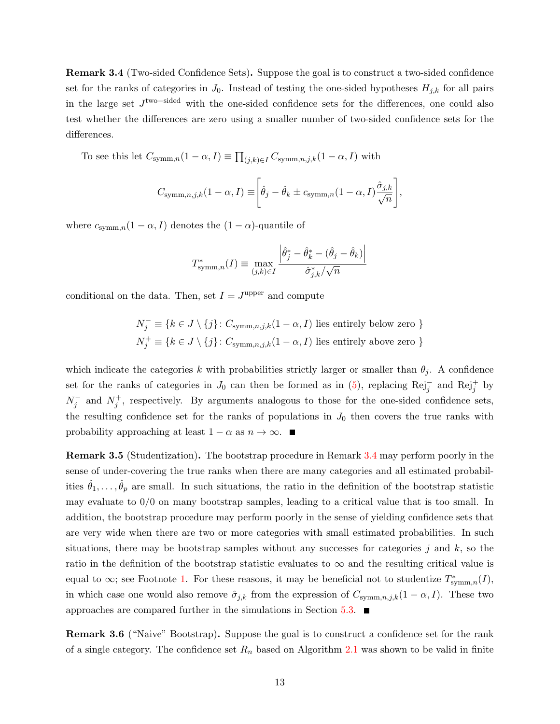Remark 3.4 (Two-sided Confidence Sets). Suppose the goal is to construct a two-sided confidence set for the ranks of categories in  $J_0$ . Instead of testing the one-sided hypotheses  $H_{i,k}$  for all pairs in the large set J two−sided with the one-sided confidence sets for the differences, one could also test whether the differences are zero using a smaller number of two-sided confidence sets for the differences.

To see this let  $C_{\text{symm},n}(1-\alpha,I) \equiv \prod_{(j,k)\in I} C_{\text{symm},n,j,k}(1-\alpha,I)$  with

$$
C_{\text{symm},n,j,k}(1-\alpha,I) \equiv \left[\hat{\theta}_j - \hat{\theta}_k \pm c_{\text{symm},n}(1-\alpha,I)\frac{\hat{\sigma}_{j,k}}{\sqrt{n}}\right],
$$

where  $c_{\text{symm},n}(1-\alpha,I)$  denotes the  $(1-\alpha)$ -quantile of

$$
T_{\text{symm},n}^*(I) \equiv \max_{(j,k)\in I} \frac{\left|\hat{\theta}_j^* - \hat{\theta}_k^* - (\hat{\theta}_j - \hat{\theta}_k)\right|}{\hat{\sigma}_{j,k}^* / \sqrt{n}}
$$

conditional on the data. Then, set  $I = J^{\text{upper}}$  and compute

$$
N_j^- \equiv \{k \in J \setminus \{j\} \colon C_{\text{symm},n,j,k}(1-\alpha, I) \text{ lies entirely below zero }\}
$$
  

$$
N_j^+ \equiv \{k \in J \setminus \{j\} \colon C_{\text{symm},n,j,k}(1-\alpha, I) \text{ lies entirely above zero }\}
$$

which indicate the categories k with probabilities strictly larger or smaller than  $\theta_j$ . A confidence set for the ranks of categories in  $J_0$  can then be formed as in [\(5\)](#page-7-0), replacing Rej<sub>j</sub> and Rej<sub>j</sub><sup>+</sup> by  $N_j^-$  and  $N_j^+$ , respectively. By arguments analogous to those for the one-sided confidence sets, the resulting confidence set for the ranks of populations in  $J_0$  then covers the true ranks with probability approaching at least  $1 - \alpha$  as  $n \to \infty$ .

<span id="page-13-1"></span>Remark 3.5 (Studentization). The bootstrap procedure in Remark [3.4](#page-12-1) may perform poorly in the sense of under-covering the true ranks when there are many categories and all estimated probabilities  $\hat{\theta}_1,\ldots,\hat{\theta}_p$  are small. In such situations, the ratio in the definition of the bootstrap statistic may evaluate to  $0/0$  on many bootstrap samples, leading to a critical value that is too small. In addition, the bootstrap procedure may perform poorly in the sense of yielding confidence sets that are very wide when there are two or more categories with small estimated probabilities. In such situations, there may be bootstrap samples without any successes for categories j and  $k$ , so the ratio in the definition of the bootstrap statistic evaluates to  $\infty$  and the resulting critical value is equal to  $\infty$ ; see Footnote [1.](#page-11-0) For these reasons, it may be beneficial not to studentize  $T^*_{\text{symm},n}(I)$ , in which case one would also remove  $\hat{\sigma}_{j,k}$  from the expression of  $C_{\text{symm},n,j,k}(1-\alpha,I)$ . These two approaches are compared further in the simulations in Section [5.3.](#page-27-0)  $\blacksquare$ 

<span id="page-13-0"></span>Remark 3.6 ("Naive" Bootstrap). Suppose the goal is to construct a confidence set for the rank of a single category. The confidence set  $R_n$  based on Algorithm [2.1](#page-9-2) was shown to be valid in finite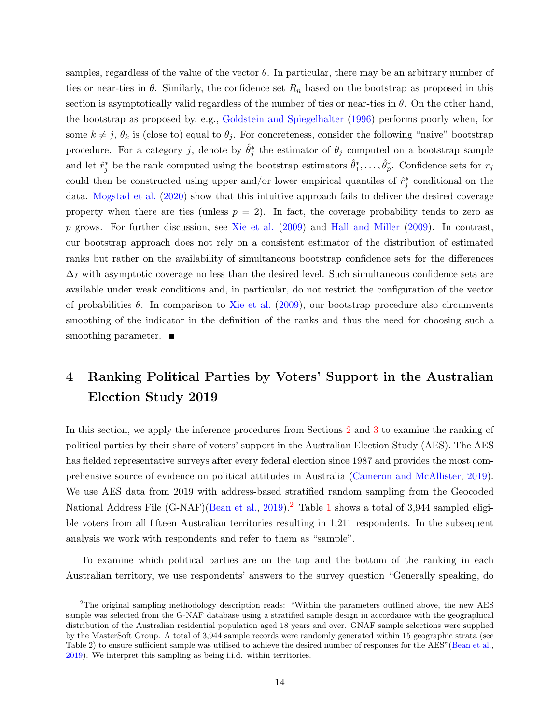samples, regardless of the value of the vector  $\theta$ . In particular, there may be an arbitrary number of ties or near-ties in  $\theta$ . Similarly, the confidence set  $R_n$  based on the bootstrap as proposed in this section is asymptotically valid regardless of the number of ties or near-ties in  $\theta$ . On the other hand, the bootstrap as proposed by, e.g., [Goldstein and Spiegelhalter](#page-42-3) [\(1996\)](#page-42-3) performs poorly when, for some  $k \neq j$ ,  $\theta_k$  is (close to) equal to  $\theta_j$ . For concreteness, consider the following "naive" bootstrap procedure. For a category j, denote by  $\hat{\theta}_j^*$  the estimator of  $\theta_j$  computed on a bootstrap sample and let  $\hat{r}_j^*$  be the rank computed using the bootstrap estimators  $\hat{\theta}_1^*, \ldots, \hat{\theta}_p^*$ . Confidence sets for  $r_j$ could then be constructed using upper and/or lower empirical quantiles of  $\hat{r}_j^*$  conditional on the data. [Mogstad et al.](#page-42-0) [\(2020\)](#page-42-0) show that this intuitive approach fails to deliver the desired coverage property when there are ties (unless  $p = 2$ ). In fact, the coverage probability tends to zero as  $p$  grows. For further discussion, see [Xie et al.](#page-43-0) [\(2009\)](#page-42-4) and [Hall and Miller](#page-42-4) (2009). In contrast, our bootstrap approach does not rely on a consistent estimator of the distribution of estimated ranks but rather on the availability of simultaneous bootstrap confidence sets for the differences  $\Delta_I$  with asymptotic coverage no less than the desired level. Such simultaneous confidence sets are available under weak conditions and, in particular, do not restrict the configuration of the vector of probabilities  $\theta$ . In comparison to [Xie et al.](#page-43-0) [\(2009\)](#page-43-0), our bootstrap procedure also circumvents smoothing of the indicator in the definition of the ranks and thus the need for choosing such a smoothing parameter.  $\blacksquare$ 

## <span id="page-14-0"></span>4 Ranking Political Parties by Voters' Support in the Australian Election Study 2019

In this section, we apply the inference procedures from Sections [2](#page-5-2) and [3](#page-11-0) to examine the ranking of political parties by their share of voters' support in the Australian Election Study (AES). The AES has fielded representative surveys after every federal election since 1987 and provides the most comprehensive source of evidence on political attitudes in Australia [\(Cameron and McAllister,](#page-42-11) [2019\)](#page-42-11). We use AES data from 2019 with address-based stratified random sampling from the Geocoded National Address File (G-NAF)[\(Bean et al.,](#page-42-12) [2019\)](#page-42-12).<sup>[2](#page-1-0)</sup> Table [1](#page-15-0) shows a total of 3,944 sampled eligible voters from all fifteen Australian territories resulting in 1,211 respondents. In the subsequent analysis we work with respondents and refer to them as "sample".

To examine which political parties are on the top and the bottom of the ranking in each Australian territory, we use respondents' answers to the survey question "Generally speaking, do

<sup>&</sup>lt;sup>2</sup>The original sampling methodology description reads: "Within the parameters outlined above, the new AES sample was selected from the G-NAF database using a stratified sample design in accordance with the geographical distribution of the Australian residential population aged 18 years and over. GNAF sample selections were supplied by the MasterSoft Group. A total of 3,944 sample records were randomly generated within 15 geographic strata (see Table 2) to ensure sufficient sample was utilised to achieve the desired number of responses for the AES"[\(Bean et al.,](#page-42-12) [2019\)](#page-42-12). We interpret this sampling as being i.i.d. within territories.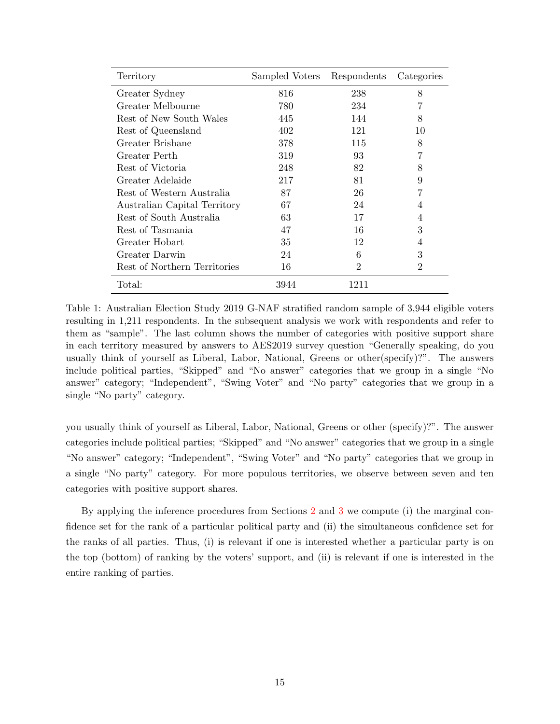<span id="page-15-0"></span>

| Territory                    | Sampled Voters | Respondents | Categories |
|------------------------------|----------------|-------------|------------|
| Greater Sydney               | 816            | 238         | 8          |
| Greater Melbourne            | 780            | 234         | 7          |
| Rest of New South Wales      | 445            | 144         | 8          |
| Rest of Queensland           | 402            | 121         | 10         |
| Greater Brisbane             | 378            | 115         | 8          |
| Greater Perth                | 319            | 93          | 7          |
| Rest of Victoria             | 248            | 82          | 8          |
| Greater Adelaide             | 217            | 81          | 9          |
| Rest of Western Australia    | 87             | 26          | 7          |
| Australian Capital Territory | 67             | 24          | 4          |
| Rest of South Australia      | 63             | 17          | 4          |
| Rest of Tasmania             | 47             | 16          | 3          |
| Greater Hobart               | 35             | 12          | 4          |
| Greater Darwin               | 24             | 6           | 3          |
| Rest of Northern Territories | 16             | 2           | 2          |
| Total:                       | 3944           | 1211        |            |

Table 1: Australian Election Study 2019 G-NAF stratified random sample of 3,944 eligible voters resulting in 1,211 respondents. In the subsequent analysis we work with respondents and refer to them as "sample". The last column shows the number of categories with positive support share in each territory measured by answers to AES2019 survey question "Generally speaking, do you usually think of yourself as Liberal, Labor, National, Greens or other(specify)?". The answers include political parties, "Skipped" and "No answer" categories that we group in a single "No answer" category; "Independent", "Swing Voter" and "No party" categories that we group in a single "No party" category.

you usually think of yourself as Liberal, Labor, National, Greens or other (specify)?". The answer categories include political parties; "Skipped" and "No answer" categories that we group in a single "No answer" category; "Independent", "Swing Voter" and "No party" categories that we group in a single "No party" category. For more populous territories, we observe between seven and ten categories with positive support shares.

By applying the inference procedures from Sections [2](#page-5-2) and [3](#page-11-0) we compute (i) the marginal confidence set for the rank of a particular political party and (ii) the simultaneous confidence set for the ranks of all parties. Thus, (i) is relevant if one is interested whether a particular party is on the top (bottom) of ranking by the voters' support, and (ii) is relevant if one is interested in the entire ranking of parties.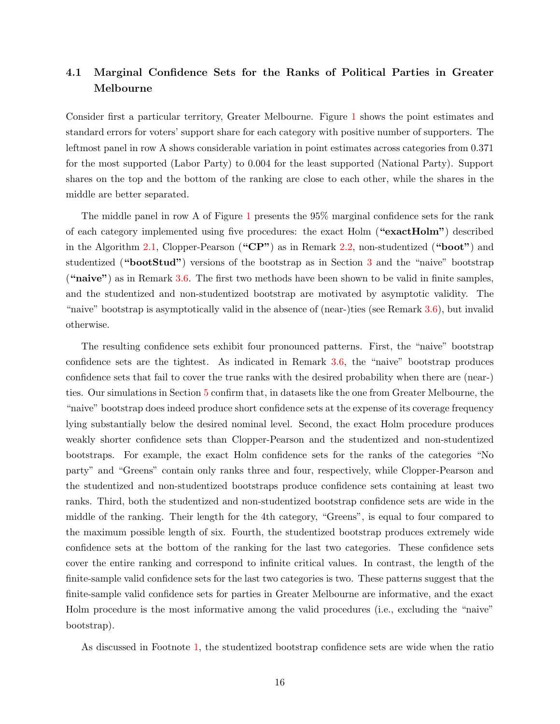## <span id="page-16-0"></span>4.1 Marginal Confidence Sets for the Ranks of Political Parties in Greater Melbourne

Consider first a particular territory, Greater Melbourne. Figure [1](#page-18-0) shows the point estimates and standard errors for voters' support share for each category with positive number of supporters. The leftmost panel in row A shows considerable variation in point estimates across categories from 0.371 for the most supported (Labor Party) to 0.004 for the least supported (National Party). Support shares on the top and the bottom of the ranking are close to each other, while the shares in the middle are better separated.

The middle panel in row A of Figure [1](#page-18-0) presents the 95% marginal confidence sets for the rank of each category implemented using five procedures: the exact Holm ("exactHolm") described in the Algorithm [2.1,](#page-9-2) Clopper-Pearson ("CP") as in Remark [2.2,](#page-10-2) non-studentized ("boot") and studentized ("bootStud") versions of the bootstrap as in Section [3](#page-11-0) and the "naive" bootstrap ("naive") as in Remark [3.6.](#page-13-0) The first two methods have been shown to be valid in finite samples, and the studentized and non-studentized bootstrap are motivated by asymptotic validity. The "naive" bootstrap is asymptotically valid in the absence of (near-)ties (see Remark [3.6\)](#page-13-0), but invalid otherwise.

The resulting confidence sets exhibit four pronounced patterns. First, the "naive" bootstrap confidence sets are the tightest. As indicated in Remark [3.6,](#page-13-0) the "naive" bootstrap produces confidence sets that fail to cover the true ranks with the desired probability when there are (near-) ties. Our simulations in Section [5](#page-21-0) confirm that, in datasets like the one from Greater Melbourne, the "naive" bootstrap does indeed produce short confidence sets at the expense of its coverage frequency lying substantially below the desired nominal level. Second, the exact Holm procedure produces weakly shorter confidence sets than Clopper-Pearson and the studentized and non-studentized bootstraps. For example, the exact Holm confidence sets for the ranks of the categories "No party" and "Greens" contain only ranks three and four, respectively, while Clopper-Pearson and the studentized and non-studentized bootstraps produce confidence sets containing at least two ranks. Third, both the studentized and non-studentized bootstrap confidence sets are wide in the middle of the ranking. Their length for the 4th category, "Greens", is equal to four compared to the maximum possible length of six. Fourth, the studentized bootstrap produces extremely wide confidence sets at the bottom of the ranking for the last two categories. These confidence sets cover the entire ranking and correspond to infinite critical values. In contrast, the length of the finite-sample valid confidence sets for the last two categories is two. These patterns suggest that the finite-sample valid confidence sets for parties in Greater Melbourne are informative, and the exact Holm procedure is the most informative among the valid procedures (i.e., excluding the "naive" bootstrap).

As discussed in Footnote [1,](#page-11-0) the studentized bootstrap confidence sets are wide when the ratio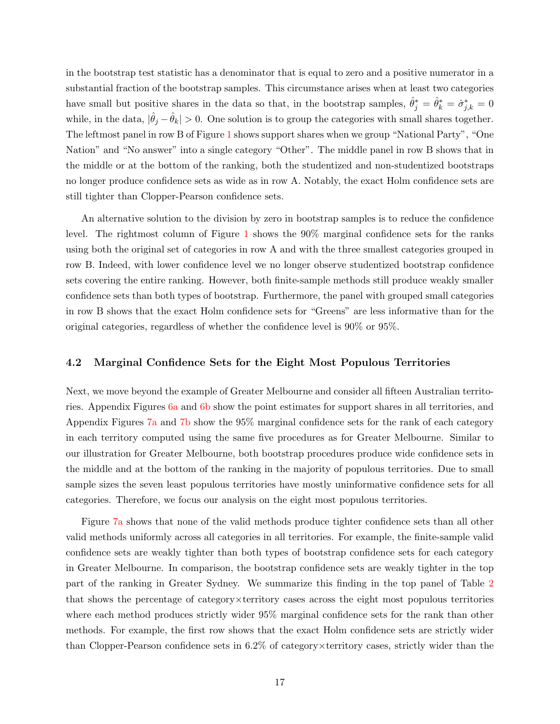in the bootstrap test statistic has a denominator that is equal to zero and a positive numerator in a substantial fraction of the bootstrap samples. This circumstance arises when at least two categories have small but positive shares in the data so that, in the bootstrap samples,  $\hat{\theta}_j^* = \hat{\theta}_k^* = \hat{\sigma}_{j,k}^* = 0$ while, in the data,  $|\hat{\theta}_j - \hat{\theta}_k| > 0$ . One solution is to group the categories with small shares together. The leftmost panel in row B of Figure [1](#page-18-0) shows support shares when we group "National Party", "One Nation" and "No answer" into a single category "Other". The middle panel in row B shows that in the middle or at the bottom of the ranking, both the studentized and non-studentized bootstraps no longer produce confidence sets as wide as in row A. Notably, the exact Holm confidence sets are still tighter than Clopper-Pearson confidence sets.

An alternative solution to the division by zero in bootstrap samples is to reduce the confidence level. The rightmost column of Figure [1](#page-18-0) shows the 90% marginal confidence sets for the ranks using both the original set of categories in row A and with the three smallest categories grouped in row B. Indeed, with lower confidence level we no longer observe studentized bootstrap confidence sets covering the entire ranking. However, both finite-sample methods still produce weakly smaller confidence sets than both types of bootstrap. Furthermore, the panel with grouped small categories in row B shows that the exact Holm confidence sets for "Greens" are less informative than for the original categories, regardless of whether the confidence level is 90% or 95%.

#### 4.2 Marginal Confidence Sets for the Eight Most Populous Territories

Next, we move beyond the example of Greater Melbourne and consider all fifteen Australian territories. Appendix Figures [6a](#page-37-0) and [6b](#page-38-0) show the point estimates for support shares in all territories, and Appendix Figures [7a](#page-39-0) and [7b](#page-40-0) show the 95% marginal confidence sets for the rank of each category in each territory computed using the same five procedures as for Greater Melbourne. Similar to our illustration for Greater Melbourne, both bootstrap procedures produce wide confidence sets in the middle and at the bottom of the ranking in the majority of populous territories. Due to small sample sizes the seven least populous territories have mostly uninformative confidence sets for all categories. Therefore, we focus our analysis on the eight most populous territories.

Figure [7a](#page-39-0) shows that none of the valid methods produce tighter confidence sets than all other valid methods uniformly across all categories in all territories. For example, the finite-sample valid confidence sets are weakly tighter than both types of bootstrap confidence sets for each category in Greater Melbourne. In comparison, the bootstrap confidence sets are weakly tighter in the top part of the ranking in Greater Sydney. We summarize this finding in the top panel of Table [2](#page-19-0) that shows the percentage of category×territory cases across the eight most populous territories where each method produces strictly wider 95% marginal confidence sets for the rank than other methods. For example, the first row shows that the exact Holm confidence sets are strictly wider than Clopper-Pearson confidence sets in 6.2% of category×territory cases, strictly wider than the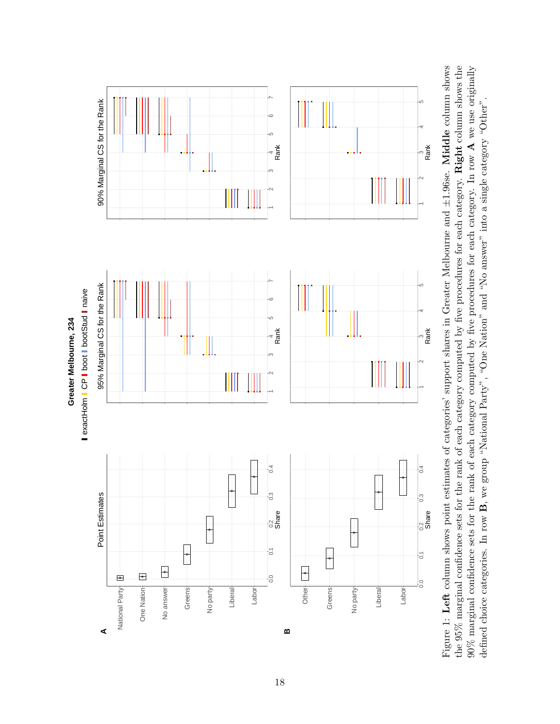<span id="page-18-0"></span>

Figure 1: Left column shows point estimates of categories' support shares in Greater Melbourne and  $\pm 1.96$ se. Middle column shows the 95% marginal confidence sets for the rank of each category computed by five procedures for each category. Right column shows the  $90\%$  marginal confidence sets for the rank of each category computed by five procedures for each category. In row A we use originally Figure 1: Left column shows point estimates of categories' support shares in Greater Melbourne and ±1.96se. Middle column shows the 95% marginal confidence sets for the rank of each category computed by five procedures for each category. Right column shows the 90% marginal confidence sets for the rank of each category computed by five procedures for each category. In row  $A$  we use originally  $A_{\text{max}}$  and  $A_{\text{max}}$  is expected by five procedures for each category. In row  $A$  w defined choice categories. In row  $B$ , we group "National Party", "One Nation" and "No answer" into a single category "Other". defined choice categories. In row B, we group "National Party", "One Nation" and "No answer" into a single category "Other".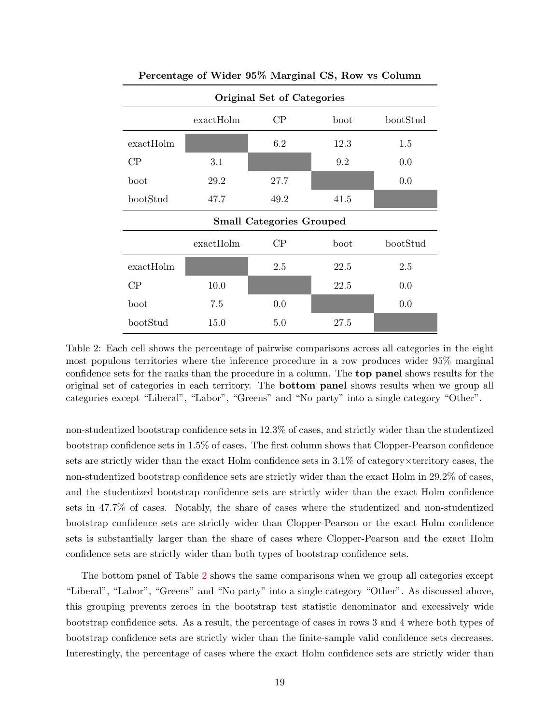<span id="page-19-0"></span>

| Original Set of Categories          |           |          |                  |          |  |  |  |  |  |  |  |
|-------------------------------------|-----------|----------|------------------|----------|--|--|--|--|--|--|--|
| CP<br>bootStud<br>exactHolm<br>boot |           |          |                  |          |  |  |  |  |  |  |  |
| $\text{exactHolm}$                  |           | 6.2      | 12.3             | 1.5      |  |  |  |  |  |  |  |
| CP                                  | 3.1       |          | 9.2              | 0.0      |  |  |  |  |  |  |  |
| boot                                | 29.2      | 27.7     |                  | 0.0      |  |  |  |  |  |  |  |
| bootStud                            | 47.7      | 49.2     | 41.5             |          |  |  |  |  |  |  |  |
| <b>Small Categories Grouped</b>     |           |          |                  |          |  |  |  |  |  |  |  |
|                                     |           |          |                  |          |  |  |  |  |  |  |  |
|                                     | exactHolm | $\rm CP$ | $_{\text{boot}}$ | bootStud |  |  |  |  |  |  |  |
| exactHolm                           |           | 2.5      | 22.5             | 2.5      |  |  |  |  |  |  |  |
| CP                                  | 10.0      |          | 22.5             | 0.0      |  |  |  |  |  |  |  |
| boot                                | 7.5       | 0.0      |                  | 0.0      |  |  |  |  |  |  |  |

Percentage of Wider 95% Marginal CS, Row vs Column

Table 2: Each cell shows the percentage of pairwise comparisons across all categories in the eight most populous territories where the inference procedure in a row produces wider 95% marginal confidence sets for the ranks than the procedure in a column. The top panel shows results for the original set of categories in each territory. The bottom panel shows results when we group all categories except "Liberal", "Labor", "Greens" and "No party" into a single category "Other".

non-studentized bootstrap confidence sets in 12.3% of cases, and strictly wider than the studentized bootstrap confidence sets in 1.5% of cases. The first column shows that Clopper-Pearson confidence sets are strictly wider than the exact Holm confidence sets in 3.1% of category×territory cases, the non-studentized bootstrap confidence sets are strictly wider than the exact Holm in 29.2% of cases, and the studentized bootstrap confidence sets are strictly wider than the exact Holm confidence sets in 47.7% of cases. Notably, the share of cases where the studentized and non-studentized bootstrap confidence sets are strictly wider than Clopper-Pearson or the exact Holm confidence sets is substantially larger than the share of cases where Clopper-Pearson and the exact Holm confidence sets are strictly wider than both types of bootstrap confidence sets.

The bottom panel of Table [2](#page-19-0) shows the same comparisons when we group all categories except "Liberal", "Labor", "Greens" and "No party" into a single category "Other". As discussed above, this grouping prevents zeroes in the bootstrap test statistic denominator and excessively wide bootstrap confidence sets. As a result, the percentage of cases in rows 3 and 4 where both types of bootstrap confidence sets are strictly wider than the finite-sample valid confidence sets decreases. Interestingly, the percentage of cases where the exact Holm confidence sets are strictly wider than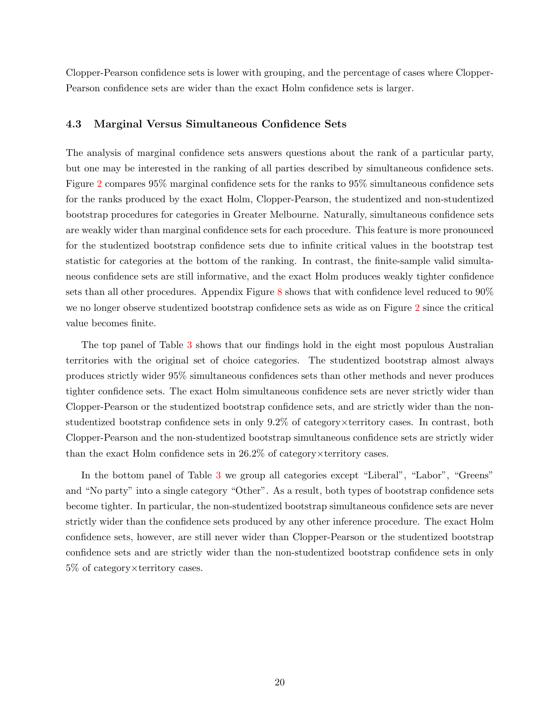Clopper-Pearson confidence sets is lower with grouping, and the percentage of cases where Clopper-Pearson confidence sets are wider than the exact Holm confidence sets is larger.

#### 4.3 Marginal Versus Simultaneous Confidence Sets

The analysis of marginal confidence sets answers questions about the rank of a particular party, but one may be interested in the ranking of all parties described by simultaneous confidence sets. Figure [2](#page-21-1) compares 95% marginal confidence sets for the ranks to 95% simultaneous confidence sets for the ranks produced by the exact Holm, Clopper-Pearson, the studentized and non-studentized bootstrap procedures for categories in Greater Melbourne. Naturally, simultaneous confidence sets are weakly wider than marginal confidence sets for each procedure. This feature is more pronounced for the studentized bootstrap confidence sets due to infinite critical values in the bootstrap test statistic for categories at the bottom of the ranking. In contrast, the finite-sample valid simultaneous confidence sets are still informative, and the exact Holm produces weakly tighter confidence sets than all other procedures. Appendix Figure [8](#page-41-0) shows that with confidence level reduced to 90% we no longer observe studentized bootstrap confidence sets as wide as on Figure [2](#page-21-1) since the critical value becomes finite.

The top panel of Table [3](#page-22-0) shows that our findings hold in the eight most populous Australian territories with the original set of choice categories. The studentized bootstrap almost always produces strictly wider 95% simultaneous confidences sets than other methods and never produces tighter confidence sets. The exact Holm simultaneous confidence sets are never strictly wider than Clopper-Pearson or the studentized bootstrap confidence sets, and are strictly wider than the nonstudentized bootstrap confidence sets in only 9.2% of category×territory cases. In contrast, both Clopper-Pearson and the non-studentized bootstrap simultaneous confidence sets are strictly wider than the exact Holm confidence sets in  $26.2\%$  of category  $\times$  territory cases.

In the bottom panel of Table [3](#page-22-0) we group all categories except "Liberal", "Labor", "Greens" and "No party" into a single category "Other". As a result, both types of bootstrap confidence sets become tighter. In particular, the non-studentized bootstrap simultaneous confidence sets are never strictly wider than the confidence sets produced by any other inference procedure. The exact Holm confidence sets, however, are still never wider than Clopper-Pearson or the studentized bootstrap confidence sets and are strictly wider than the non-studentized bootstrap confidence sets in only 5% of category×territory cases.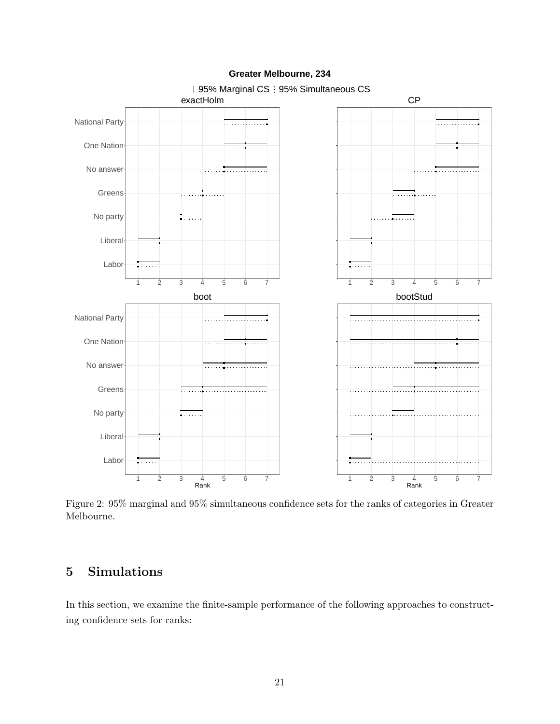<span id="page-21-1"></span>

#### **Greater Melbourne, 234**

Figure 2: 95% marginal and 95% simultaneous confidence sets for the ranks of categories in Greater Melbourne.

## <span id="page-21-0"></span>5 Simulations

In this section, we examine the finite-sample performance of the following approaches to constructing confidence sets for ranks: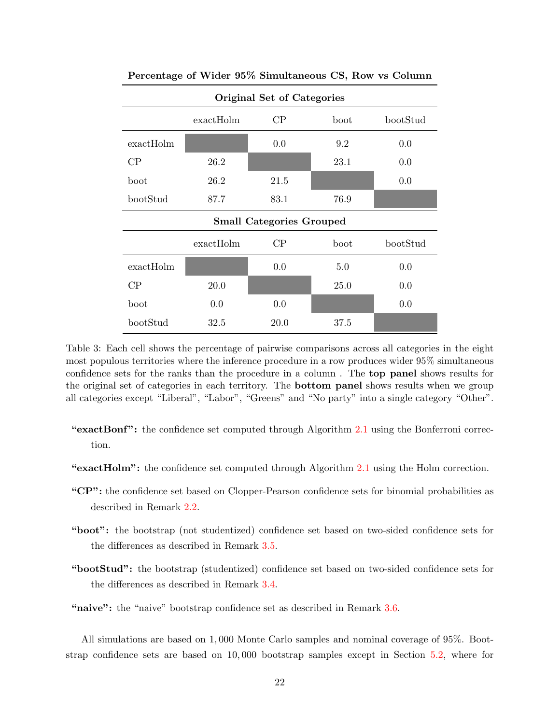| Original Set of Categories      |                               |      |      |     |  |  |  |  |  |  |
|---------------------------------|-------------------------------|------|------|-----|--|--|--|--|--|--|
|                                 | bootStud                      |      |      |     |  |  |  |  |  |  |
| exactHolm                       |                               | 0.0  | 9.2  | 0.0 |  |  |  |  |  |  |
| CP                              | 26.2                          |      | 23.1 | 0.0 |  |  |  |  |  |  |
| boot                            | 26.2                          | 21.5 |      | 0.0 |  |  |  |  |  |  |
| bootStud                        | 87.7                          | 83.1 | 76.9 |     |  |  |  |  |  |  |
| <b>Small Categories Grouped</b> |                               |      |      |     |  |  |  |  |  |  |
|                                 | $\rm CP$<br>exactHolm<br>boot |      |      |     |  |  |  |  |  |  |
| exactHolm                       |                               | 0.0  | 5.0  | 0.0 |  |  |  |  |  |  |
| CP                              | 20.0                          |      | 25.0 | 0.0 |  |  |  |  |  |  |
| boot                            | 0.0                           | 0.0  |      | 0.0 |  |  |  |  |  |  |
| bootStud                        | 32.5                          | 20.0 | 37.5 |     |  |  |  |  |  |  |

<span id="page-22-0"></span>Percentage of Wider 95% Simultaneous CS, Row vs Column

Table 3: Each cell shows the percentage of pairwise comparisons across all categories in the eight most populous territories where the inference procedure in a row produces wider 95% simultaneous confidence sets for the ranks than the procedure in a column . The top panel shows results for the original set of categories in each territory. The bottom panel shows results when we group all categories except "Liberal", "Labor", "Greens" and "No party" into a single category "Other".

- "exactBonf": the confidence set computed through Algorithm [2.1](#page-9-2) using the Bonferroni correction.
- "exactHolm": the confidence set computed through Algorithm [2.1](#page-9-2) using the Holm correction.
- "CP": the confidence set based on Clopper-Pearson confidence sets for binomial probabilities as described in Remark [2.2.](#page-10-2)
- "boot": the bootstrap (not studentized) confidence set based on two-sided confidence sets for the differences as described in Remark [3.5.](#page-13-1)
- "bootStud": the bootstrap (studentized) confidence set based on two-sided confidence sets for the differences as described in Remark [3.4.](#page-12-1)
- "naive": the "naive" bootstrap confidence set as described in Remark [3.6.](#page-13-0)

All simulations are based on 1, 000 Monte Carlo samples and nominal coverage of 95%. Bootstrap confidence sets are based on 10, 000 bootstrap samples except in Section [5.2,](#page-25-0) where for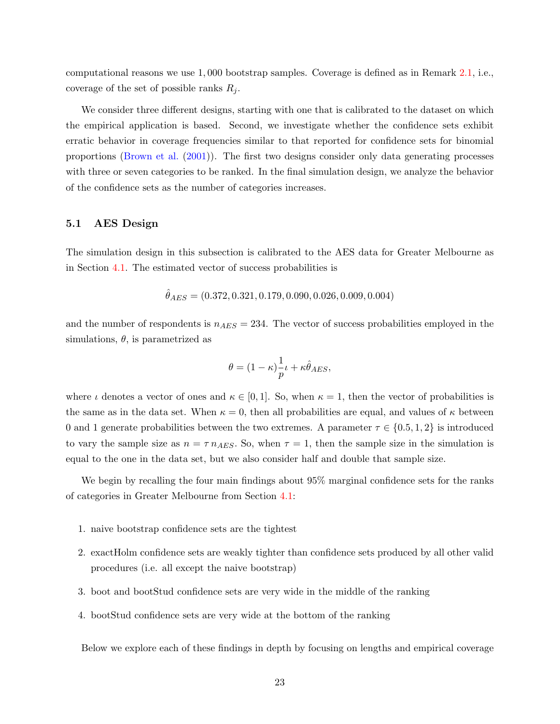computational reasons we use 1, 000 bootstrap samples. Coverage is defined as in Remark [2.1,](#page-8-3) i.e., coverage of the set of possible ranks  $R_i$ .

We consider three different designs, starting with one that is calibrated to the dataset on which the empirical application is based. Second, we investigate whether the confidence sets exhibit erratic behavior in coverage frequencies similar to that reported for confidence sets for binomial proportions [\(Brown et al.](#page-42-1) [\(2001\)](#page-42-1)). The first two designs consider only data generating processes with three or seven categories to be ranked. In the final simulation design, we analyze the behavior of the confidence sets as the number of categories increases.

#### 5.1 AES Design

The simulation design in this subsection is calibrated to the AES data for Greater Melbourne as in Section [4.1.](#page-16-0) The estimated vector of success probabilities is

$$
\hat{\theta}_{AES} = (0.372, 0.321, 0.179, 0.090, 0.026, 0.009, 0.004)
$$

and the number of respondents is  $n_{AES} = 234$ . The vector of success probabilities employed in the simulations,  $\theta$ , is parametrized as

$$
\theta = (1 - \kappa) \frac{1}{p} \iota + \kappa \hat{\theta}_{AES},
$$

where  $\iota$  denotes a vector of ones and  $\kappa \in [0,1]$ . So, when  $\kappa = 1$ , then the vector of probabilities is the same as in the data set. When  $\kappa = 0$ , then all probabilities are equal, and values of  $\kappa$  between 0 and 1 generate probabilities between the two extremes. A parameter  $\tau \in \{0.5, 1, 2\}$  is introduced to vary the sample size as  $n = \tau n_{AES}$ . So, when  $\tau = 1$ , then the sample size in the simulation is equal to the one in the data set, but we also consider half and double that sample size.

We begin by recalling the four main findings about 95% marginal confidence sets for the ranks of categories in Greater Melbourne from Section [4.1:](#page-16-0)

- 1. naive bootstrap confidence sets are the tightest
- 2. exactHolm confidence sets are weakly tighter than confidence sets produced by all other valid procedures (i.e. all except the naive bootstrap)
- 3. boot and bootStud confidence sets are very wide in the middle of the ranking
- 4. bootStud confidence sets are very wide at the bottom of the ranking

Below we explore each of these findings in depth by focusing on lengths and empirical coverage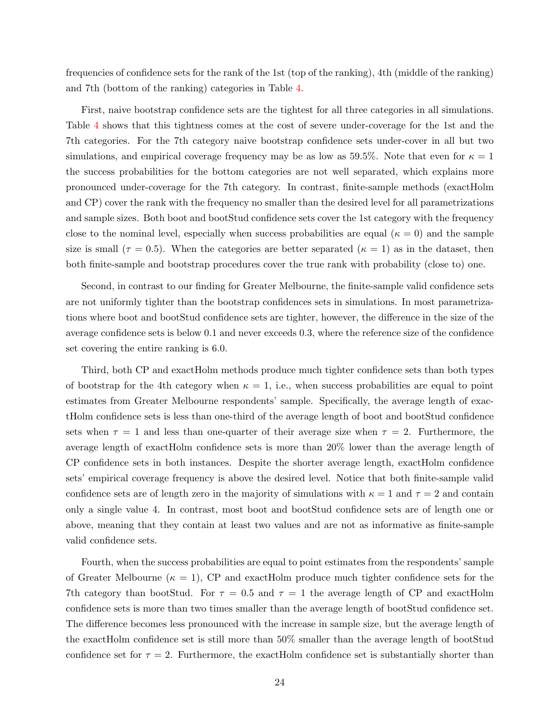frequencies of confidence sets for the rank of the 1st (top of the ranking), 4th (middle of the ranking) and 7th (bottom of the ranking) categories in Table [4.](#page-29-0)

First, naive bootstrap confidence sets are the tightest for all three categories in all simulations. Table [4](#page-29-0) shows that this tightness comes at the cost of severe under-coverage for the 1st and the 7th categories. For the 7th category naive bootstrap confidence sets under-cover in all but two simulations, and empirical coverage frequency may be as low as 59.5%. Note that even for  $\kappa = 1$ the success probabilities for the bottom categories are not well separated, which explains more pronounced under-coverage for the 7th category. In contrast, finite-sample methods (exactHolm and CP) cover the rank with the frequency no smaller than the desired level for all parametrizations and sample sizes. Both boot and bootStud confidence sets cover the 1st category with the frequency close to the nominal level, especially when success probabilities are equal ( $\kappa = 0$ ) and the sample size is small ( $\tau = 0.5$ ). When the categories are better separated ( $\kappa = 1$ ) as in the dataset, then both finite-sample and bootstrap procedures cover the true rank with probability (close to) one.

Second, in contrast to our finding for Greater Melbourne, the finite-sample valid confidence sets are not uniformly tighter than the bootstrap confidences sets in simulations. In most parametrizations where boot and bootStud confidence sets are tighter, however, the difference in the size of the average confidence sets is below 0.1 and never exceeds 0.3, where the reference size of the confidence set covering the entire ranking is 6.0.

Third, both CP and exactHolm methods produce much tighter confidence sets than both types of bootstrap for the 4th category when  $\kappa = 1$ , i.e., when success probabilities are equal to point estimates from Greater Melbourne respondents' sample. Specifically, the average length of exactHolm confidence sets is less than one-third of the average length of boot and bootStud confidence sets when  $\tau = 1$  and less than one-quarter of their average size when  $\tau = 2$ . Furthermore, the average length of exactHolm confidence sets is more than 20% lower than the average length of CP confidence sets in both instances. Despite the shorter average length, exactHolm confidence sets' empirical coverage frequency is above the desired level. Notice that both finite-sample valid confidence sets are of length zero in the majority of simulations with  $\kappa = 1$  and  $\tau = 2$  and contain only a single value 4. In contrast, most boot and bootStud confidence sets are of length one or above, meaning that they contain at least two values and are not as informative as finite-sample valid confidence sets.

Fourth, when the success probabilities are equal to point estimates from the respondents' sample of Greater Melbourne ( $\kappa = 1$ ), CP and exactHolm produce much tighter confidence sets for the 7th category than bootStud. For  $\tau = 0.5$  and  $\tau = 1$  the average length of CP and exactHolm confidence sets is more than two times smaller than the average length of bootStud confidence set. The difference becomes less pronounced with the increase in sample size, but the average length of the exactHolm confidence set is still more than 50% smaller than the average length of bootStud confidence set for  $\tau = 2$ . Furthermore, the exactHolm confidence set is substantially shorter than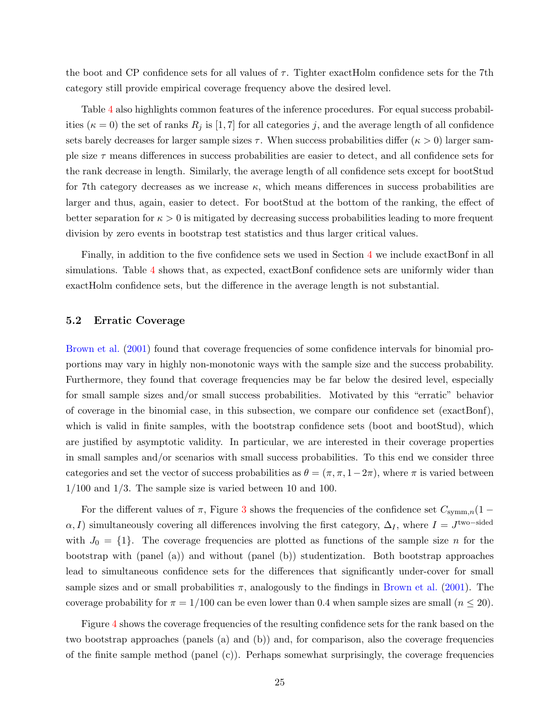the boot and CP confidence sets for all values of  $\tau$ . Tighter exactHolm confidence sets for the 7th category still provide empirical coverage frequency above the desired level.

Table [4](#page-29-0) also highlights common features of the inference procedures. For equal success probabilities ( $\kappa = 0$ ) the set of ranks  $R_j$  is [1, 7] for all categories j, and the average length of all confidence sets barely decreases for larger sample sizes  $\tau$ . When success probabilities differ ( $\kappa > 0$ ) larger sample size  $\tau$  means differences in success probabilities are easier to detect, and all confidence sets for the rank decrease in length. Similarly, the average length of all confidence sets except for bootStud for 7th category decreases as we increase  $\kappa$ , which means differences in success probabilities are larger and thus, again, easier to detect. For bootStud at the bottom of the ranking, the effect of better separation for  $\kappa > 0$  is mitigated by decreasing success probabilities leading to more frequent division by zero events in bootstrap test statistics and thus larger critical values.

Finally, in addition to the five confidence sets we used in Section [4](#page-14-0) we include exactBonf in all simulations. Table [4](#page-29-0) shows that, as expected, exactBonf confidence sets are uniformly wider than exactHolm confidence sets, but the difference in the average length is not substantial.

#### <span id="page-25-0"></span>5.2 Erratic Coverage

[Brown et al.](#page-42-1) [\(2001\)](#page-42-1) found that coverage frequencies of some confidence intervals for binomial proportions may vary in highly non-monotonic ways with the sample size and the success probability. Furthermore, they found that coverage frequencies may be far below the desired level, especially for small sample sizes and/or small success probabilities. Motivated by this "erratic" behavior of coverage in the binomial case, in this subsection, we compare our confidence set (exactBonf), which is valid in finite samples, with the bootstrap confidence sets (boot and bootStud), which are justified by asymptotic validity. In particular, we are interested in their coverage properties in small samples and/or scenarios with small success probabilities. To this end we consider three categories and set the vector of success probabilities as  $\theta = (\pi, \pi, 1-2\pi)$ , where  $\pi$  is varied between  $1/100$  and  $1/3$ . The sample size is varied between 10 and 100.

For the different values of  $\pi$ , Figure [3](#page-26-0) shows the frequencies of the confidence set  $C_{\text{symm},n}(1 \alpha$ , I) simultaneously covering all differences involving the first category,  $\Delta_I$ , where  $I = J^{\text{two-sided}}$ with  $J_0 = \{1\}$ . The coverage frequencies are plotted as functions of the sample size n for the bootstrap with (panel (a)) and without (panel (b)) studentization. Both bootstrap approaches lead to simultaneous confidence sets for the differences that significantly under-cover for small sample sizes and or small probabilities  $\pi$ , analogously to the findings in [Brown et al.](#page-42-1) [\(2001\)](#page-42-1). The coverage probability for  $\pi = 1/100$  can be even lower than 0.4 when sample sizes are small  $(n \leq 20)$ .

Figure [4](#page-26-1) shows the coverage frequencies of the resulting confidence sets for the rank based on the two bootstrap approaches (panels (a) and (b)) and, for comparison, also the coverage frequencies of the finite sample method (panel  $(c)$ ). Perhaps somewhat surprisingly, the coverage frequencies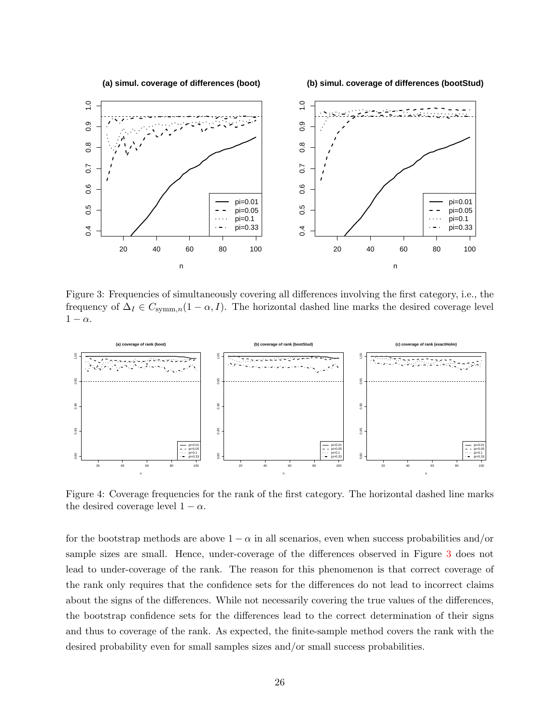<span id="page-26-0"></span>

Figure 3: Frequencies of simultaneously covering all differences involving the first category, i.e., the frequency of  $\Delta_I \in C_{\text{symm},n}(1-\alpha,I)$ . The horizontal dashed line marks the desired coverage level  $1 - \alpha$ .

<span id="page-26-1"></span>

Figure 4: Coverage frequencies for the rank of the first category. The horizontal dashed line marks the desired coverage level  $1 - \alpha$ .

for the bootstrap methods are above  $1 - \alpha$  in all scenarios, even when success probabilities and/or sample sizes are small. Hence, under-coverage of the differences observed in Figure [3](#page-26-0) does not lead to under-coverage of the rank. The reason for this phenomenon is that correct coverage of the rank only requires that the confidence sets for the differences do not lead to incorrect claims about the signs of the differences. While not necessarily covering the true values of the differences, the bootstrap confidence sets for the differences lead to the correct determination of their signs and thus to coverage of the rank. As expected, the finite-sample method covers the rank with the desired probability even for small samples sizes and/or small success probabilities.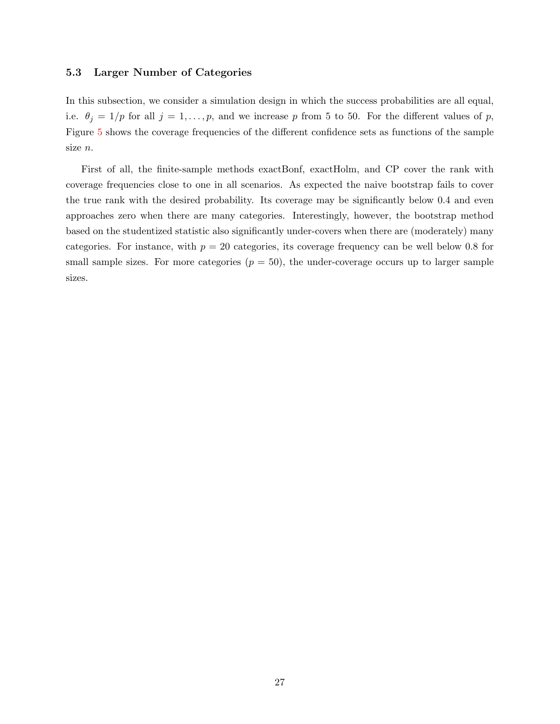#### <span id="page-27-0"></span>5.3 Larger Number of Categories

In this subsection, we consider a simulation design in which the success probabilities are all equal, i.e.  $\theta_j = 1/p$  for all  $j = 1, ..., p$ , and we increase p from 5 to 50. For the different values of p, Figure [5](#page-28-0) shows the coverage frequencies of the different confidence sets as functions of the sample size n.

First of all, the finite-sample methods exactBonf, exactHolm, and CP cover the rank with coverage frequencies close to one in all scenarios. As expected the naive bootstrap fails to cover the true rank with the desired probability. Its coverage may be significantly below 0.4 and even approaches zero when there are many categories. Interestingly, however, the bootstrap method based on the studentized statistic also significantly under-covers when there are (moderately) many categories. For instance, with  $p = 20$  categories, its coverage frequency can be well below 0.8 for small sample sizes. For more categories  $(p = 50)$ , the under-coverage occurs up to larger sample sizes.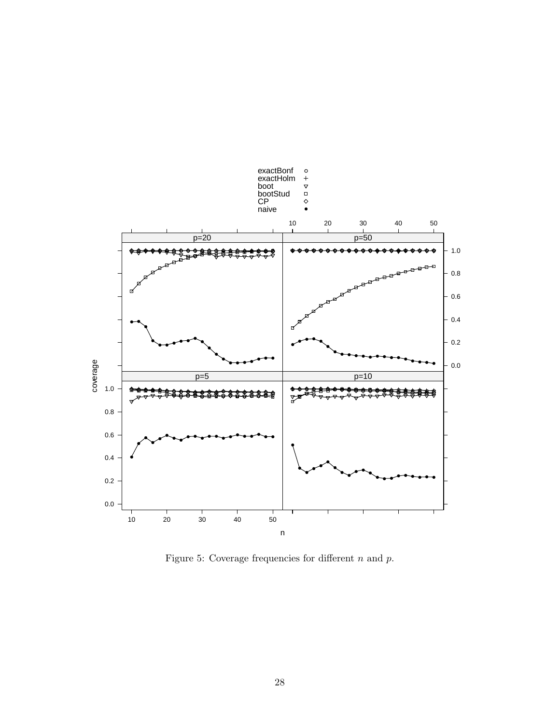<span id="page-28-0"></span>

Figure 5: Coverage frequencies for different  $n$  and  $p$ .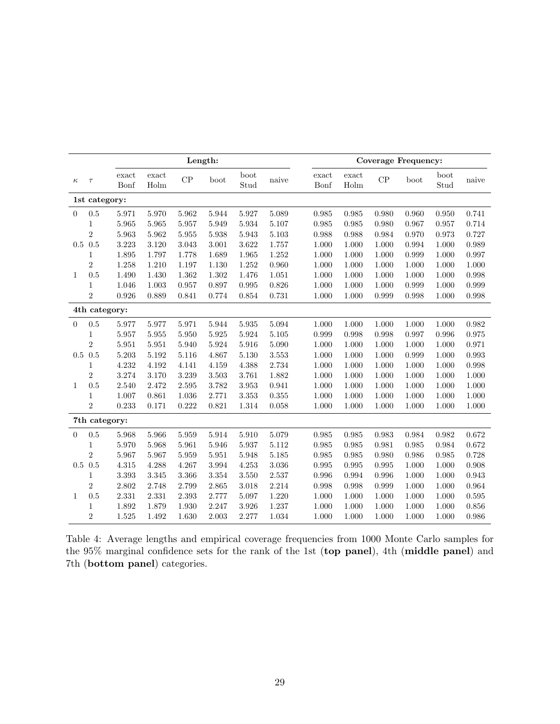<span id="page-29-0"></span>

|              |                | Length:       |               |       |       |              |       | <b>Coverage Frequency:</b> |               |               |           |       |              |       |
|--------------|----------------|---------------|---------------|-------|-------|--------------|-------|----------------------------|---------------|---------------|-----------|-------|--------------|-------|
| $\kappa$     | $\tau$         | exact<br>Bonf | exact<br>Holm | CP    | boot  | boot<br>Stud | naive |                            | exact<br>Bonf | exact<br>Holm | CP        | boot  | boot<br>Stud | naive |
|              | 1st category:  |               |               |       |       |              |       |                            |               |               |           |       |              |       |
| $\Omega$     | 0.5            | 5.971         | 5.970         | 5.962 | 5.944 | 5.927        | 5.089 |                            | 0.985         | 0.985         | 0.980     | 0.960 | 0.950        | 0.741 |
|              | 1              | 5.965         | 5.965         | 5.957 | 5.949 | 5.934        | 5.107 |                            | 0.985         | 0.985         | 0.980     | 0.967 | 0.957        | 0.714 |
|              | $\overline{2}$ | 5.963         | 5.962         | 5.955 | 5.938 | 5.943        | 5.103 |                            | 0.988         | 0.988         | 0.984     | 0.970 | 0.973        | 0.727 |
| 0.5          | 0.5            | 3.223         | 3.120         | 3.043 | 3.001 | 3.622        | 1.757 |                            | 1.000         | 1.000         | 1.000     | 0.994 | 1.000        | 0.989 |
|              | 1              | 1.895         | 1.797         | 1.778 | 1.689 | 1.965        | 1.252 |                            | 1.000         | 1.000         | 1.000     | 0.999 | 1.000        | 0.997 |
|              | $\overline{2}$ | 1.258         | 1.210         | 1.197 | 1.130 | 1.252        | 0.960 |                            | 1.000         | 1.000         | 1.000     | 1.000 | 1.000        | 1.000 |
| $\mathbf{1}$ | 0.5            | 1.490         | 1.430         | 1.362 | 1.302 | 1.476        | 1.051 |                            | 1.000         | 1.000         | 1.000     | 1.000 | 1.000        | 0.998 |
|              | 1              | 1.046         | 1.003         | 0.957 | 0.897 | 0.995        | 0.826 |                            | 1.000         | 1.000         | 1.000     | 0.999 | 1.000        | 0.999 |
|              | $\overline{2}$ | 0.926         | 0.889         | 0.841 | 0.774 | 0.854        | 0.731 |                            | 1.000         | 1.000         | 0.999     | 0.998 | 1.000        | 0.998 |
|              | 4th category:  |               |               |       |       |              |       |                            |               |               |           |       |              |       |
| $\Omega$     | 0.5            | 5.977         | 5.977         | 5.971 | 5.944 | 5.935        | 5.094 |                            | 1.000         | 1.000         | $1.000\,$ | 1.000 | 1.000        | 0.982 |
|              | 1              | 5.957         | 5.955         | 5.950 | 5.925 | 5.924        | 5.105 |                            | 0.999         | 0.998         | 0.998     | 0.997 | 0.996        | 0.975 |
|              | $\overline{2}$ | 5.951         | 5.951         | 5.940 | 5.924 | 5.916        | 5.090 |                            | 1.000         | 1.000         | 1.000     | 1.000 | 1.000        | 0.971 |
| 0.5          | 0.5            | 5.203         | 5.192         | 5.116 | 4.867 | 5.130        | 3.553 |                            | 1.000         | 1.000         | 1.000     | 0.999 | 1.000        | 0.993 |
|              | 1              | 4.232         | 4.192         | 4.141 | 4.159 | 4.388        | 2.734 |                            | 1.000         | 1.000         | 1.000     | 1.000 | 1.000        | 0.998 |
|              | $\overline{2}$ | 3.274         | 3.170         | 3.239 | 3.503 | 3.761        | 1.882 |                            | 1.000         | 1.000         | 1.000     | 1.000 | 1.000        | 1.000 |
| 1            | 0.5            | 2.540         | 2.472         | 2.595 | 3.782 | 3.953        | 0.941 |                            | 1.000         | 1.000         | 1.000     | 1.000 | 1.000        | 1.000 |
|              | 1              | 1.007         | 0.861         | 1.036 | 2.771 | 3.353        | 0.355 |                            | 1.000         | 1.000         | 1.000     | 1.000 | 1.000        | 1.000 |
|              | $\overline{2}$ | 0.233         | 0.171         | 0.222 | 0.821 | 1.314        | 0.058 |                            | 1.000         | 1.000         | 1.000     | 1.000 | 1.000        | 1.000 |
|              | 7th category:  |               |               |       |       |              |       |                            |               |               |           |       |              |       |
| $\Omega$     | $0.5\,$        | 5.968         | 5.966         | 5.959 | 5.914 | 5.910        | 5.079 |                            | 0.985         | 0.985         | 0.983     | 0.984 | 0.982        | 0.672 |
|              | 1              | 5.970         | 5.968         | 5.961 | 5.946 | 5.937        | 5.112 |                            | 0.985         | 0.985         | 0.981     | 0.985 | 0.984        | 0.672 |
|              | $\overline{2}$ | 5.967         | 5.967         | 5.959 | 5.951 | 5.948        | 5.185 |                            | 0.985         | 0.985         | 0.980     | 0.986 | 0.985        | 0.728 |
|              | $0.5\ 0.5$     | 4.315         | 4.288         | 4.267 | 3.994 | 4.253        | 3.036 |                            | 0.995         | 0.995         | 0.995     | 1.000 | 1.000        | 0.908 |
|              | 1              | 3.393         | 3.345         | 3.366 | 3.354 | 3.550        | 2.537 |                            | 0.996         | 0.994         | 0.996     | 1.000 | 1.000        | 0.943 |
|              | $\overline{2}$ | 2.802         | 2.748         | 2.799 | 2.865 | 3.018        | 2.214 |                            | 0.998         | 0.998         | 0.999     | 1.000 | 1.000        | 0.964 |
| $\mathbf{1}$ | 0.5            | 2.331         | 2.331         | 2.393 | 2.777 | 5.097        | 1.220 |                            | 1.000         | 1.000         | 1.000     | 1.000 | 1.000        | 0.595 |
|              | 1              | 1.892         | 1.879         | 1.930 | 2.247 | 3.926        | 1.237 |                            | 1.000         | 1.000         | 1.000     | 1.000 | 1.000        | 0.856 |
|              | $\overline{2}$ | 1.525         | 1.492         | 1.630 | 2.003 | 2.277        | 1.034 |                            | 1.000         | 1.000         | 1.000     | 1.000 | 1.000        | 0.986 |

|  | Table 4: Average lengths and empirical coverage frequencies from 1000 Monte Carlo samples for |  |  |  |  |  |
|--|-----------------------------------------------------------------------------------------------|--|--|--|--|--|
|  | the 95% marginal confidence sets for the rank of the 1st (top panel), 4th (middle panel) and  |  |  |  |  |  |
|  | 7th ( <b>bottom panel</b> ) categories.                                                       |  |  |  |  |  |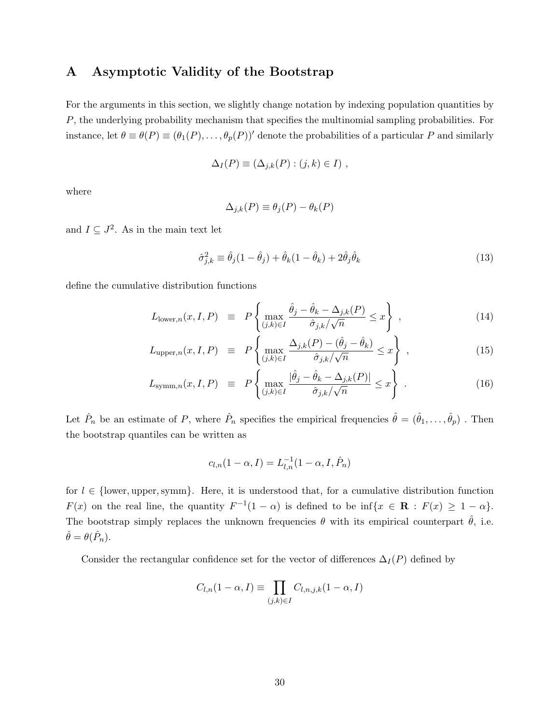### <span id="page-30-0"></span>A Asymptotic Validity of the Bootstrap

For the arguments in this section, we slightly change notation by indexing population quantities by P, the underlying probability mechanism that specifies the multinomial sampling probabilities. For instance, let  $\theta \equiv \theta(P) \equiv (\theta_1(P), \ldots, \theta_p(P))'$  denote the probabilities of a particular P and similarly

$$
\Delta_I(P) \equiv (\Delta_{j,k}(P) : (j,k) \in I) ,
$$

where

$$
\Delta_{j,k}(P) \equiv \theta_j(P) - \theta_k(P)
$$

and  $I \subseteq J^2$ . As in the main text let

<span id="page-30-1"></span>
$$
\hat{\sigma}_{j,k}^2 \equiv \hat{\theta}_j (1 - \hat{\theta}_j) + \hat{\theta}_k (1 - \hat{\theta}_k) + 2\hat{\theta}_j \hat{\theta}_k \tag{13}
$$

define the cumulative distribution functions

<span id="page-30-2"></span>
$$
L_{\text{lower},n}(x,I,P) \equiv P\left\{\max_{(j,k)\in I} \frac{\hat{\theta}_j - \hat{\theta}_k - \Delta_{j,k}(P)}{\hat{\sigma}_{j,k}/\sqrt{n}} \le x\right\},\tag{14}
$$

$$
L_{\text{upper},n}(x, I, P) \equiv P\left\{\max_{(j,k)\in I} \frac{\Delta_{j,k}(P) - (\hat{\theta}_j - \hat{\theta}_k)}{\hat{\sigma}_{j,k}/\sqrt{n}} \le x\right\},\tag{15}
$$

$$
L_{\text{symm},n}(x, I, P) \equiv P\left\{\max_{(j,k)\in I} \frac{|\hat{\theta}_j - \hat{\theta}_k - \Delta_{j,k}(P)|}{\hat{\sigma}_{j,k}/\sqrt{n}} \le x\right\}.
$$
 (16)

Let  $\hat{P}_n$  be an estimate of P, where  $\hat{P}_n$  specifies the empirical frequencies  $\hat{\theta} = (\hat{\theta}_1, \dots, \hat{\theta}_p)$ . Then the bootstrap quantiles can be written as

$$
c_{l,n}(1-\alpha,I)=L_{l,n}^{-1}(1-\alpha,I,\hat{P}_n)
$$

for  $l \in \{\text{lower, upper, symm}\}\.$  Here, it is understood that, for a cumulative distribution function  $F(x)$  on the real line, the quantity  $F^{-1}(1-\alpha)$  is defined to be inf $\{x \in \mathbf{R} : F(x) \geq 1-\alpha\}.$ The bootstrap simply replaces the unknown frequencies  $\theta$  with its empirical counterpart  $\hat{\theta}$ , i.e.  $\hat{\theta} = \theta(\hat{P}_n).$ 

Consider the rectangular confidence set for the vector of differences  $\Delta_I(P)$  defined by

$$
C_{l,n}(1-\alpha,I) \equiv \prod_{(j,k)\in I} C_{l,n,j,k}(1-\alpha,I)
$$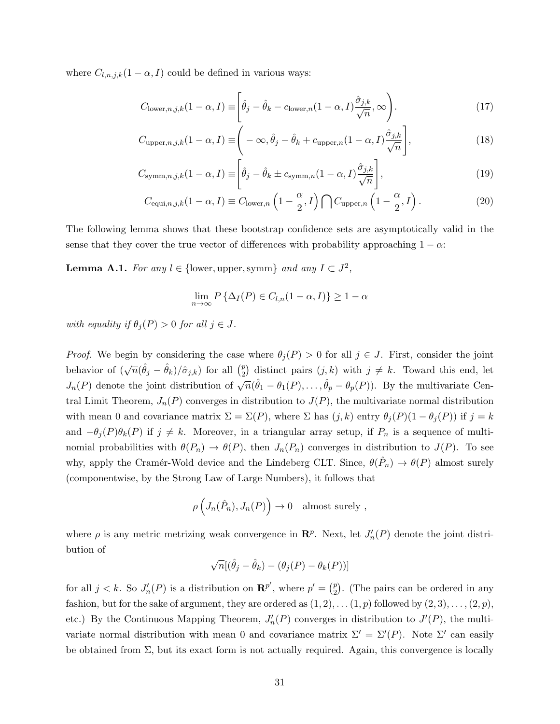where  $C_{l,n,j,k}(1-\alpha,I)$  could be defined in various ways:

$$
C_{\text{lower},n,j,k}(1-\alpha,I) \equiv \left[\hat{\theta}_j - \hat{\theta}_k - c_{\text{lower},n}(1-\alpha,I)\frac{\hat{\sigma}_{j,k}}{\sqrt{n}},\infty\right). \tag{17}
$$

$$
C_{\text{upper},n,j,k}(1-\alpha,I) \equiv \left(-\infty,\hat{\theta}_j - \hat{\theta}_k + c_{\text{upper},n}(1-\alpha,I)\frac{\hat{\sigma}_{j,k}}{\sqrt{n}}\right],\tag{18}
$$

$$
C_{\text{symm},n,j,k}(1-\alpha,I) \equiv \left[\hat{\theta}_j - \hat{\theta}_k \pm c_{\text{symm},n}(1-\alpha,I)\frac{\hat{\sigma}_{j,k}}{\sqrt{n}}\right],\tag{19}
$$

$$
C_{\text{equi},n,j,k}(1-\alpha,I) \equiv C_{\text{lower},n} \left(1 - \frac{\alpha}{2}, I\right) \bigcap C_{\text{upper},n} \left(1 - \frac{\alpha}{2}, I\right). \tag{20}
$$

The following lemma shows that these bootstrap confidence sets are asymptotically valid in the sense that they cover the true vector of differences with probability approaching  $1 - \alpha$ :

<span id="page-31-0"></span>**Lemma A.1.** For any  $l \in \{\text{lower, upper, symm}\}\$ and any  $I \subset J^2$ ,

$$
\lim_{n \to \infty} P\left\{\Delta_I(P) \in C_{l,n}(1-\alpha, I)\right\} \ge 1 - \alpha
$$

with equality if  $\theta_j(P) > 0$  for all  $j \in J$ .

*Proof.* We begin by considering the case where  $\theta_i(P) > 0$  for all  $j \in J$ . First, consider the joint behavior of  $(\sqrt{n}(\hat{\theta}_j - \hat{\theta}_k)/\hat{\sigma}_{j,k})$  for all  $\binom{p}{2}$  $\binom{p}{2}$  distinct pairs  $(j,k)$  with  $j \neq k$ . Toward this end, let  $J_n(P)$  denote the joint distribution of  $\sqrt{n}(\hat{\theta}_1 - \theta_1(P), \dots, \hat{\theta}_p - \theta_p(P))$ . By the multivariate Central Limit Theorem,  $J_n(P)$  converges in distribution to  $J(P)$ , the multivariate normal distribution with mean 0 and covariance matrix  $\Sigma = \Sigma(P)$ , where  $\Sigma$  has  $(j, k)$  entry  $\theta_j(P)(1 - \theta_j(P))$  if  $j = k$ and  $-\theta_j(P)\theta_k(P)$  if  $j \neq k$ . Moreover, in a triangular array setup, if  $P_n$  is a sequence of multinomial probabilities with  $\theta(P_n) \to \theta(P)$ , then  $J_n(P_n)$  converges in distribution to  $J(P)$ . To see why, apply the Cramér-Wold device and the Lindeberg CLT. Since,  $\theta(\hat{P}_n) \to \theta(P)$  almost surely (componentwise, by the Strong Law of Large Numbers), it follows that

$$
\rho\left(J_n(\hat{P}_n), J_n(P)\right) \to 0 \quad \text{almost surely },
$$

where  $\rho$  is any metric metrizing weak convergence in  $\mathbb{R}^p$ . Next, let  $J'_n(P)$  denote the joint distribution of

$$
\sqrt{n}[(\hat{\theta}_j - \hat{\theta}_k) - (\theta_j(P) - \theta_k(P))]
$$

for all  $j < k$ . So  $J'_n(P)$  is a distribution on  $\mathbb{R}^{p'}$ , where  $p' = \binom{p}{2}$  $_{2}^{p}$ ). (The pairs can be ordered in any fashion, but for the sake of argument, they are ordered as  $(1, 2), \ldots (1, p)$  followed by  $(2, 3), \ldots, (2, p)$ , etc.) By the Continuous Mapping Theorem,  $J'_n(P)$  converges in distribution to  $J'(P)$ , the multivariate normal distribution with mean 0 and covariance matrix  $\Sigma' = \Sigma'(P)$ . Note  $\Sigma'$  can easily be obtained from  $\Sigma$ , but its exact form is not actually required. Again, this convergence is locally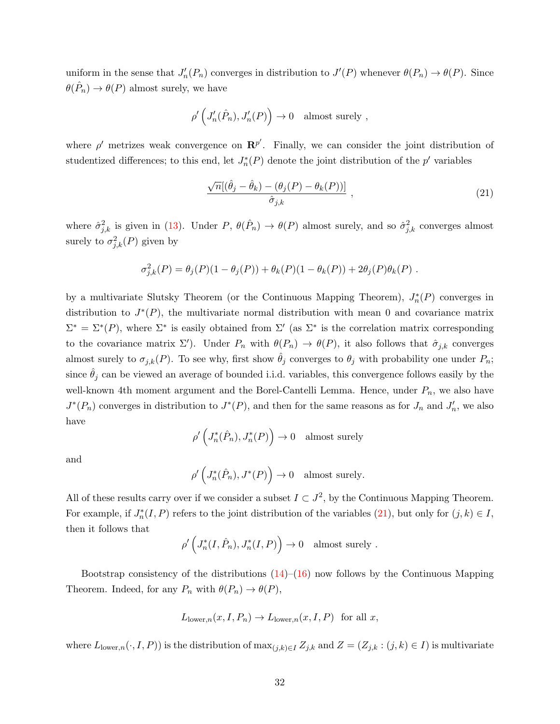uniform in the sense that  $J'_n(P_n)$  converges in distribution to  $J'(P)$  whenever  $\theta(P_n) \to \theta(P)$ . Since  $\theta(\hat{P}_n) \to \theta(P)$  almost surely, we have

$$
\rho'\left(J'_n(\hat{P}_n),J'_n(P)\right)\to 0 \quad \text{almost surely },
$$

where  $\rho'$  metrizes weak convergence on  $\mathbb{R}^{p'}$ . Finally, we can consider the joint distribution of studentized differences; to this end, let  $J_n^*(P)$  denote the joint distribution of the  $p'$  variables

<span id="page-32-0"></span>
$$
\frac{\sqrt{n}[(\hat{\theta}_j - \hat{\theta}_k) - (\theta_j(P) - \theta_k(P))]}{\hat{\sigma}_{j,k}} ,
$$
\n(21)

where  $\hat{\sigma}_{j,k}^2$  is given in [\(13\)](#page-30-1). Under P,  $\theta(\hat{P}_n) \to \theta(P)$  almost surely, and so  $\hat{\sigma}_{j,k}^2$  converges almost surely to  $\sigma_{j,k}^2(P)$  given by

$$
\sigma_{j,k}^2(P) = \theta_j(P)(1 - \theta_j(P)) + \theta_k(P)(1 - \theta_k(P)) + 2\theta_j(P)\theta_k(P).
$$

by a multivariate Slutsky Theorem (or the Continuous Mapping Theorem),  $J_n^*(P)$  converges in distribution to  $J^*(P)$ , the multivariate normal distribution with mean 0 and covariance matrix  $\Sigma^* = \Sigma^*(P)$ , where  $\Sigma^*$  is easily obtained from  $\Sigma'$  (as  $\Sigma^*$  is the correlation matrix corresponding to the covariance matrix  $\Sigma'$ ). Under  $P_n$  with  $\theta(P_n) \to \theta(P)$ , it also follows that  $\hat{\sigma}_{j,k}$  converges almost surely to  $\sigma_{j,k}(P)$ . To see why, first show  $\hat{\theta}_j$  converges to  $\theta_j$  with probability one under  $P_n$ ; since  $\theta_j$  can be viewed an average of bounded i.i.d. variables, this convergence follows easily by the well-known 4th moment argument and the Borel-Cantelli Lemma. Hence, under  $P_n$ , we also have  $J^*(P_n)$  converges in distribution to  $J^*(P)$ , and then for the same reasons as for  $J_n$  and  $J'_n$ , we also have

$$
\rho'\left(J_n^*(\hat{P}_n), J_n^*(P)\right) \to 0 \quad \text{almost surely}
$$

and

$$
\rho'\left(J_n^*(\hat{P}_n), J^*(P)\right) \to 0 \quad \text{almost surely.}
$$

All of these results carry over if we consider a subset  $I \subset J^2$ , by the Continuous Mapping Theorem. For example, if  $J_n^*(I, P)$  refers to the joint distribution of the variables  $(21)$ , but only for  $(j, k) \in I$ , then it follows that

$$
\rho'\left(J_n^*(I,\hat{P}_n), J_n^*(I,P)\right) \to 0 \text{ almost surely }.
$$

Bootstrap consistency of the distributions  $(14)$ – $(16)$  now follows by the Continuous Mapping Theorem. Indeed, for any  $P_n$  with  $\theta(P_n) \to \theta(P)$ ,

$$
L_{\text{lower},n}(x, I, P_n) \to L_{\text{lower},n}(x, I, P) \text{ for all } x,
$$

where  $L_{\text{lower},n}(\cdot, I, P)$  is the distribution of  $\max_{(j,k)\in I} Z_{j,k}$  and  $Z = (Z_{j,k} : (j,k) \in I)$  is multivariate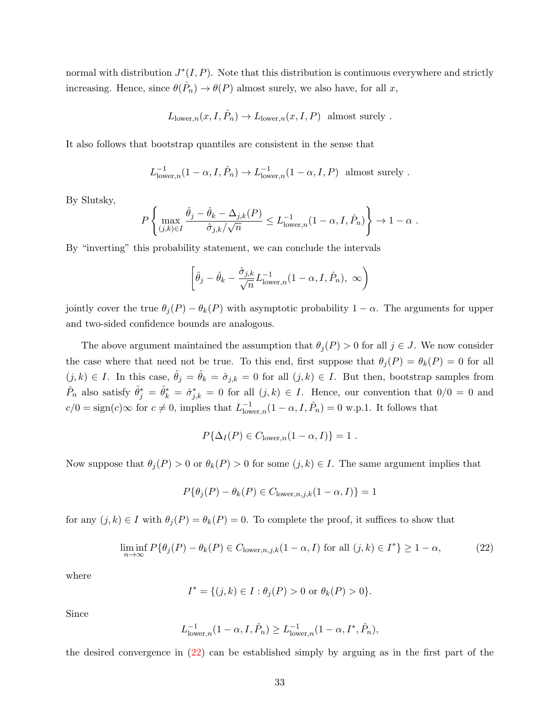normal with distribution  $J^*(I, P)$ . Note that this distribution is continuous everywhere and strictly increasing. Hence, since  $\theta(\hat{P}_n) \to \theta(P)$  almost surely, we also have, for all x,

$$
L_{\text{lower},n}(x, I, \hat{P}_n) \to L_{\text{lower},n}(x, I, P)
$$
 almost surely.

It also follows that bootstrap quantiles are consistent in the sense that

$$
L^{-1}_{\text{lower},n}(1-\alpha,I,\hat{P}_n) \to L^{-1}_{\text{lower},n}(1-\alpha,I,P) \text{ almost surely }.
$$

By Slutsky,

$$
P\left\{\max_{(j,k)\in I} \frac{\hat{\theta}_j - \hat{\theta}_k - \Delta_{j,k}(P)}{\hat{\sigma}_{j,k}/\sqrt{n}} \le L^{-1}_{\text{lower},n}(1-\alpha,I,\hat{P}_n)\right\} \to 1-\alpha.
$$

By "inverting" this probability statement, we can conclude the intervals

$$
\left[\hat{\theta}_j - \hat{\theta}_k - \frac{\hat{\sigma}_{j,k}}{\sqrt{n}} L^{-1}_{\text{lower},n} (1 - \alpha, I, \hat{P}_n), \infty\right)
$$

jointly cover the true  $\theta_j(P) - \theta_k(P)$  with asymptotic probability  $1 - \alpha$ . The arguments for upper and two-sided confidence bounds are analogous.

The above argument maintained the assumption that  $\theta_i(P) > 0$  for all  $j \in J$ . We now consider the case where that need not be true. To this end, first suppose that  $\theta_i(P) = \theta_k(P) = 0$  for all  $(j, k) \in I$ . In this case,  $\hat{\theta}_j = \hat{\theta}_k = \hat{\sigma}_{j,k} = 0$  for all  $(j, k) \in I$ . But then, bootstrap samples from  $\hat{P}_n$  also satisfy  $\hat{\theta}^*_j = \hat{\theta}^*_k = \hat{\sigma}^*_{j,k} = 0$  for all  $(j,k) \in I$ . Hence, our convention that  $0/0 = 0$  and  $c/0 = sign(c) \infty$  for  $c \neq 0$ , implies that  $L_{\text{low}}^{-1}$  $\sum_{\text{lower},n}^{-1}(1-\alpha,I,\hat{P}_n)=0$  w.p.1. It follows that

$$
P\{\Delta_I(P) \in C_{\text{lower},n}(1-\alpha,I)\} = 1.
$$

Now suppose that  $\theta_i(P) > 0$  or  $\theta_k(P) > 0$  for some  $(j, k) \in I$ . The same argument implies that

$$
P\{\theta_j(P) - \theta_k(P) \in C_{\text{lower},n,j,k}(1-\alpha,I)\} = 1
$$

for any  $(j, k) \in I$  with  $\theta_j(P) = \theta_k(P) = 0$ . To complete the proof, it suffices to show that

<span id="page-33-0"></span>
$$
\liminf_{n \to \infty} P\{\theta_j(P) - \theta_k(P) \in C_{\text{lower},n,j,k}(1-\alpha, I) \text{ for all } (j,k) \in I^*\} \ge 1 - \alpha,\tag{22}
$$

where

$$
I^* = \{ (j,k) \in I : \theta_j(P) > 0 \text{ or } \theta_k(P) > 0 \}.
$$

Since

$$
L_{\text{lower},n}^{-1}(1-\alpha,I,\hat{P}_n) \ge L_{\text{lower},n}^{-1}(1-\alpha,I^*,\hat{P}_n),
$$

the desired convergence in [\(22\)](#page-33-0) can be established simply by arguing as in the first part of the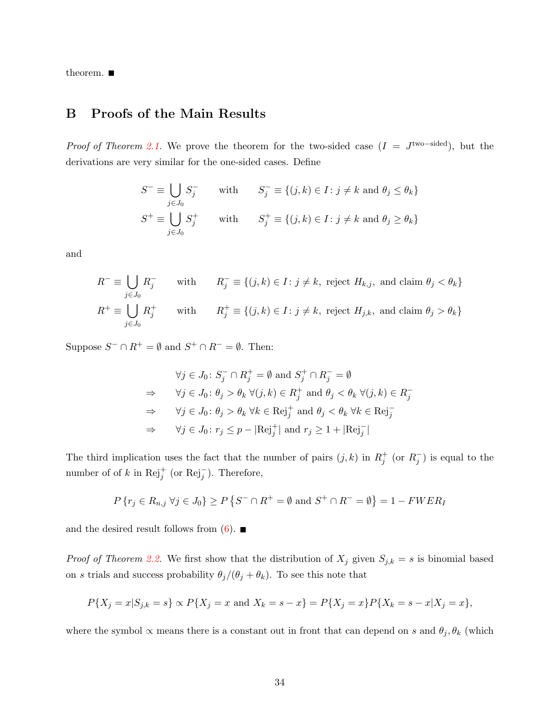theorem.  $\blacksquare$ 

## B Proofs of the Main Results

*Proof of Theorem [2.1.](#page-7-2)* We prove the theorem for the two-sided case  $(I = J^{\text{two-sided}})$ , but the derivations are very similar for the one-sided cases. Define

$$
S^- \equiv \bigcup_{j \in J_0} S_j^- \qquad \text{with} \qquad S_j^- \equiv \{(j, k) \in I : j \neq k \text{ and } \theta_j \le \theta_k\}
$$
  

$$
S^+ \equiv \bigcup_{j \in J_0} S_j^+ \qquad \text{with} \qquad S_j^+ \equiv \{(j, k) \in I : j \ne k \text{ and } \theta_j \ge \theta_k\}
$$

and

$$
R^{-} \equiv \bigcup_{j \in J_0} R_j^{-}
$$
 with 
$$
R_j^{-} \equiv \{(j, k) \in I : j \neq k, \text{ reject } H_{k,j}, \text{ and claim } \theta_j < \theta_k\}
$$
  

$$
R^{+} \equiv \bigcup_{j \in J_0} R_j^{+}
$$
 with 
$$
R_j^{+} \equiv \{(j, k) \in I : j \neq k, \text{ reject } H_{j,k}, \text{ and claim } \theta_j > \theta_k\}
$$

Suppose  $S^- \cap R^+ = \emptyset$  and  $S^+ \cap R^- = \emptyset$ . Then:

$$
\forall j \in J_0 \colon S_j^- \cap R_j^+ = \emptyset \text{ and } S_j^+ \cap R_j^- = \emptyset
$$
  
\n
$$
\Rightarrow \quad \forall j \in J_0 \colon \theta_j > \theta_k \ \forall (j, k) \in R_j^+ \text{ and } \theta_j < \theta_k \ \forall (j, k) \in R_j^-
$$
  
\n
$$
\Rightarrow \quad \forall j \in J_0 \colon \theta_j > \theta_k \ \forall k \in \text{Rej}_j^+ \text{ and } \theta_j < \theta_k \ \forall k \in \text{Rej}_j^-
$$
  
\n
$$
\Rightarrow \quad \forall j \in J_0 \colon r_j \le p - |\text{Rej}_j^+| \text{ and } r_j \ge 1 + |\text{Rej}_j^-|
$$

The third implication uses the fact that the number of pairs  $(j, k)$  in  $R_j^+$  (or  $R_j^-$ ) is equal to the number of of k in  $\text{Rej}_j^+$  (or  $\text{Rej}_j^-$ ). Therefore,

$$
P\{r_j \in R_{n,j} \,\forall j \in J_0\} \ge P\{S^- \cap R^+ = \emptyset \text{ and } S^+ \cap R^- = \emptyset\} = 1 - FWER_I
$$

and the desired result follows from  $(6)$ .

*Proof of Theorem [2.2.](#page-9-0)* We first show that the distribution of  $X_j$  given  $S_{j,k} = s$  is binomial based on s trials and success probability  $\theta_j/(\theta_j + \theta_k)$ . To see this note that

$$
P\{X_j = x | S_{j,k} = s\} \propto P\{X_j = x \text{ and } X_k = s - x\} = P\{X_j = x\} P\{X_k = s - x | X_j = x\},\
$$

where the symbol  $\propto$  means there is a constant out in front that can depend on s and  $\theta_j$ ,  $\theta_k$  (which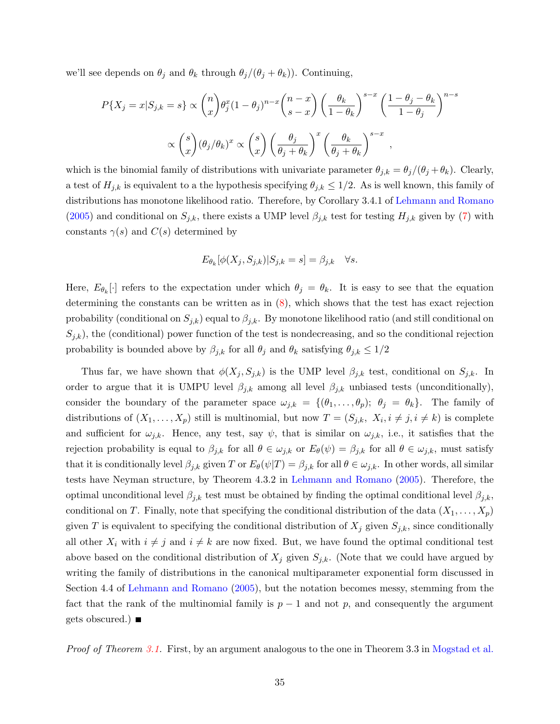we'll see depends on  $\theta_j$  and  $\theta_k$  through  $\theta_j/(\theta_j + \theta_k)$ . Continuing,

$$
P\{X_j = x | S_{j,k} = s\} \propto {n \choose x} \theta_j^x (1 - \theta_j)^{n-x} {n-x \choose s-x} \left(\frac{\theta_k}{1-\theta_k}\right)^{s-x} \left(\frac{1-\theta_j-\theta_k}{1-\theta_j}\right)^{n-s}
$$

$$
\propto {s \choose x} (\theta_j/\theta_k)^x \propto {s \choose x} \left(\frac{\theta_j}{\theta_j+\theta_k}\right)^x \left(\frac{\theta_k}{\theta_j+\theta_k}\right)^{s-x},
$$

which is the binomial family of distributions with univariate parameter  $\theta_{j,k} = \theta_j/(\theta_j + \theta_k)$ . Clearly, a test of  $H_{j,k}$  is equivalent to a the hypothesis specifying  $\theta_{j,k} \leq 1/2$ . As is well known, this family of distributions has monotone likelihood ratio. Therefore, by Corollary 3.4.1 of [Lehmann and Romano](#page-42-13) [\(2005\)](#page-42-13) and conditional on  $S_{j,k}$ , there exists a UMP level  $\beta_{j,k}$  test for testing  $H_{j,k}$  given by [\(7\)](#page-8-1) with constants  $\gamma(s)$  and  $C(s)$  determined by

$$
E_{\theta_k}[\phi(X_j, S_{j,k})|S_{j,k} = s] = \beta_{j,k} \quad \forall s.
$$

Here,  $E_{\theta_k}[\cdot]$  refers to the expectation under which  $\theta_j = \theta_k$ . It is easy to see that the equation determining the constants can be written as in  $(8)$ , which shows that the test has exact rejection probability (conditional on  $S_{j,k}$ ) equal to  $\beta_{j,k}$ . By monotone likelihood ratio (and still conditional on  $S_{j,k}$ , the (conditional) power function of the test is nondecreasing, and so the conditional rejection probability is bounded above by  $\beta_{j,k}$  for all  $\theta_j$  and  $\theta_k$  satisfying  $\theta_{j,k} \leq 1/2$ 

Thus far, we have shown that  $\phi(X_j, S_{j,k})$  is the UMP level  $\beta_{j,k}$  test, conditional on  $S_{j,k}$ . In order to argue that it is UMPU level  $\beta_{j,k}$  among all level  $\beta_{j,k}$  unbiased tests (unconditionally), consider the boundary of the parameter space  $\omega_{j,k} = \{(\theta_1, \ldots, \theta_p); \ \theta_j = \theta_k\}.$  The family of distributions of  $(X_1, \ldots, X_p)$  still is multinomial, but now  $T = (S_{j,k}, X_i, i \neq j, i \neq k)$  is complete and sufficient for  $\omega_{j,k}$ . Hence, any test, say  $\psi$ , that is similar on  $\omega_{j,k}$ , i.e., it satisfies that the rejection probability is equal to  $\beta_{j,k}$  for all  $\theta \in \omega_{j,k}$  or  $E_{\theta}(\psi) = \beta_{j,k}$  for all  $\theta \in \omega_{j,k}$ , must satisfy that it is conditionally level  $\beta_{j,k}$  given T or  $E_{\theta}(\psi|T) = \beta_{j,k}$  for all  $\theta \in \omega_{j,k}$ . In other words, all similar tests have Neyman structure, by Theorem 4.3.2 in [Lehmann and Romano](#page-42-13) [\(2005\)](#page-42-13). Therefore, the optimal unconditional level  $\beta_{j,k}$  test must be obtained by finding the optimal conditional level  $\beta_{j,k}$ , conditional on T. Finally, note that specifying the conditional distribution of the data  $(X_1, \ldots, X_p)$ given T is equivalent to specifying the conditional distribution of  $X_j$  given  $S_{j,k}$ , since conditionally all other  $X_i$  with  $i \neq j$  and  $i \neq k$  are now fixed. But, we have found the optimal conditional test above based on the conditional distribution of  $X_j$  given  $S_{j,k}$ . (Note that we could have argued by writing the family of distributions in the canonical multiparameter exponential form discussed in Section 4.4 of [Lehmann and Romano](#page-42-13) [\(2005\)](#page-42-13), but the notation becomes messy, stemming from the fact that the rank of the multinomial family is  $p-1$  and not p, and consequently the argument gets obscured.)

Proof of Theorem [3.1.](#page-12-2) First, by an argument analogous to the one in Theorem 3.3 in [Mogstad et al.](#page-42-0)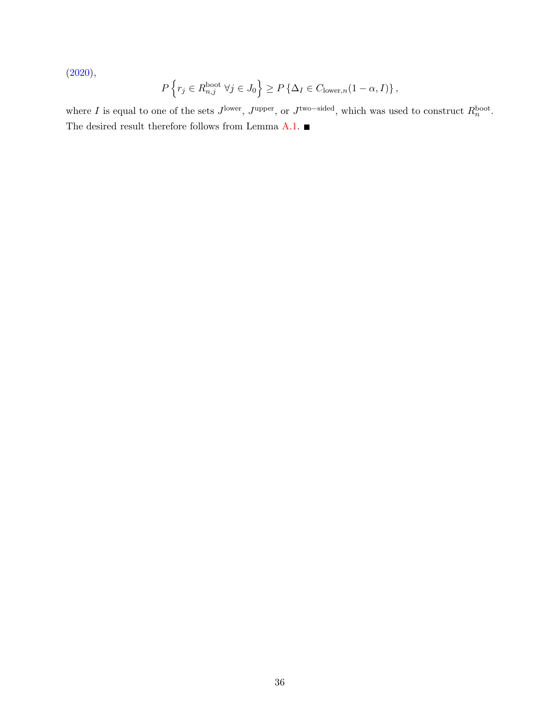[\(2020\)](#page-42-0),

$$
P\left\{r_j \in R_{n,j}^{\text{boot}} \,\,\forall j \in J_0\right\} \ge P\left\{\Delta_I \in C_{\text{lower},n}(1-\alpha,I)\right\},\,
$$

where I is equal to one of the sets  $J^{\text{lower}}$ ,  $J^{\text{upper}}$ , or  $J^{\text{two-sided}}$ , which was used to construct  $R_n^{\text{boot}}$ . The desired result therefore follows from Lemma [A.1.](#page-31-0)  $\blacksquare$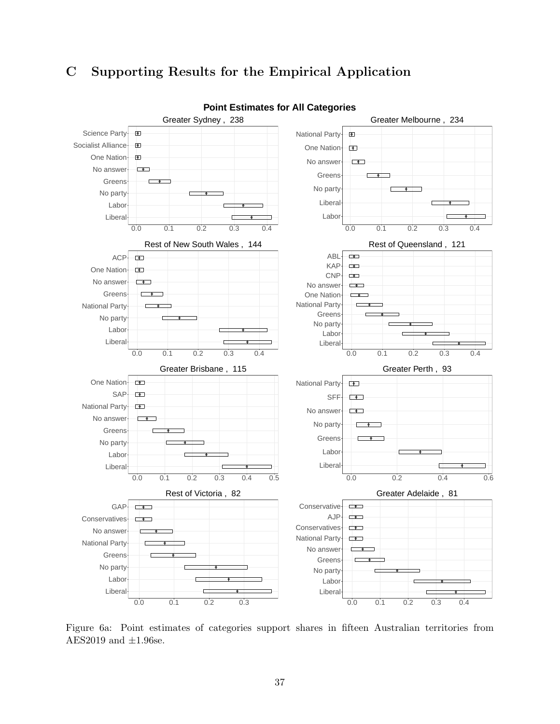## C Supporting Results for the Empirical Application

<span id="page-37-0"></span>

Figure 6a: Point estimates of categories support shares in fifteen Australian territories from AES2019 and  $\pm 1.96$ se.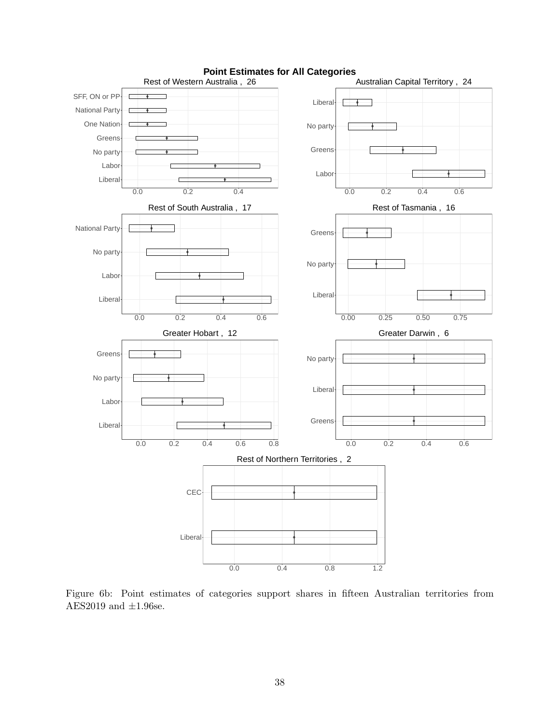<span id="page-38-0"></span>

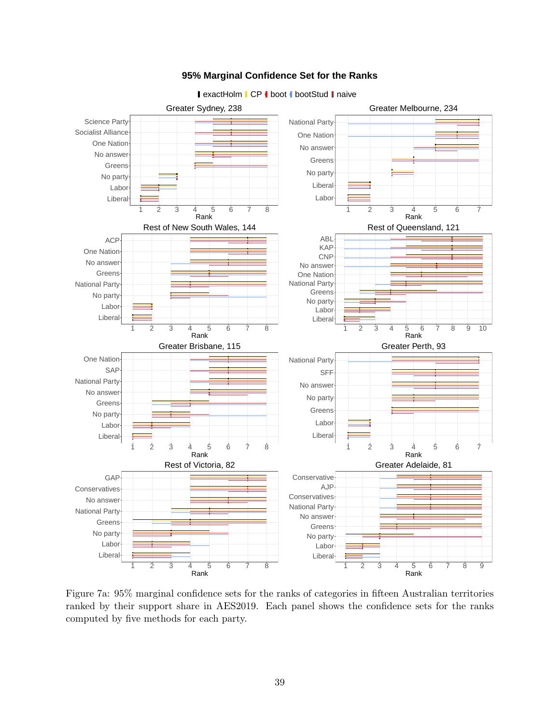<span id="page-39-0"></span>

#### **95% Marginal Confidence Set for the Ranks**

**exactHolm CP | boot | bootStud | naive** 

Figure 7a: 95% marginal confidence sets for the ranks of categories in fifteen Australian territories ranked by their support share in AES2019. Each panel shows the confidence sets for the ranks computed by five methods for each party.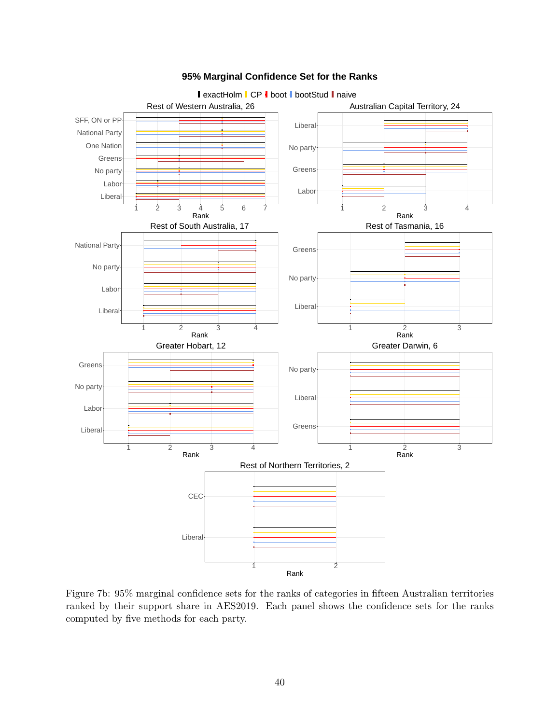<span id="page-40-0"></span>

#### **95% Marginal Confidence Set for the Ranks**

Figure 7b: 95% marginal confidence sets for the ranks of categories in fifteen Australian territories ranked by their support share in AES2019. Each panel shows the confidence sets for the ranks computed by five methods for each party.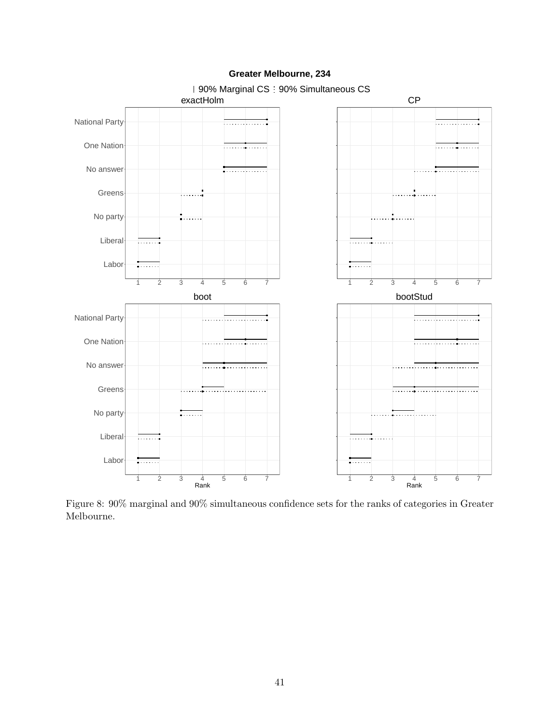<span id="page-41-0"></span>

#### **Greater Melbourne, 234**

Figure 8: 90% marginal and 90% simultaneous confidence sets for the ranks of categories in Greater Melbourne.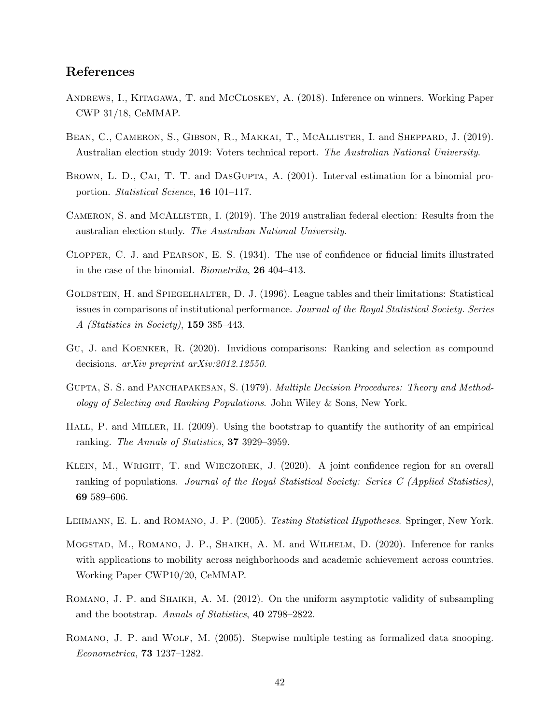## References

- <span id="page-42-5"></span>Andrews, I., Kitagawa, T. and McCloskey, A. (2018). Inference on winners. Working Paper CWP 31/18, CeMMAP.
- <span id="page-42-12"></span>BEAN, C., CAMERON, S., GIBSON, R., MAKKAI, T., MCALLISTER, I. and SHEPPARD, J. (2019). Australian election study 2019: Voters technical report. The Australian National University.
- <span id="page-42-1"></span>BROWN, L. D., CAI, T. T. and DASGUPTA, A. (2001). Interval estimation for a binomial proportion. Statistical Science, 16 101–117.
- <span id="page-42-11"></span>CAMERON, S. and MCALLISTER, I. (2019). The 2019 australian federal election: Results from the australian election study. The Australian National University.
- <span id="page-42-8"></span>Clopper, C. J. and Pearson, E. S. (1934). The use of confidence or fiducial limits illustrated in the case of the binomial. Biometrika, 26 404–413.
- <span id="page-42-3"></span>GOLDSTEIN, H. and SPIEGELHALTER, D. J. (1996). League tables and their limitations: Statistical issues in comparisons of institutional performance. Journal of the Royal Statistical Society. Series A (Statistics in Society), 159 385–443.
- <span id="page-42-6"></span>Gu, J. and Koenker, R. (2020). Invidious comparisons: Ranking and selection as compound decisions. arXiv preprint arXiv:2012.12550.
- <span id="page-42-7"></span>GUPTA, S. S. and PANCHAPAKESAN, S. (1979). *Multiple Decision Procedures: Theory and Method*ology of Selecting and Ranking Populations. John Wiley & Sons, New York.
- <span id="page-42-4"></span>HALL, P. and MILLER, H. (2009). Using the bootstrap to quantify the authority of an empirical ranking. The Annals of Statistics, 37 3929–3959.
- <span id="page-42-2"></span>Klein, M., Wright, T. and Wieczorek, J. (2020). A joint confidence region for an overall ranking of populations. Journal of the Royal Statistical Society: Series C (Applied Statistics), 69 589–606.
- <span id="page-42-13"></span>Lehmann, E. L. and Romano, J. P. (2005). Testing Statistical Hypotheses. Springer, New York.
- <span id="page-42-0"></span>Mogstad, M., Romano, J. P., Shaikh, A. M. and Wilhelm, D. (2020). Inference for ranks with applications to mobility across neighborhoods and academic achievement across countries. Working Paper CWP10/20, CeMMAP.
- <span id="page-42-9"></span>Romano, J. P. and Shaikh, A. M. (2012). On the uniform asymptotic validity of subsampling and the bootstrap. Annals of Statistics, 40 2798–2822.
- <span id="page-42-10"></span>Romano, J. P. and Wolf, M. (2005). Stepwise multiple testing as formalized data snooping. Econometrica, 73 1237–1282.